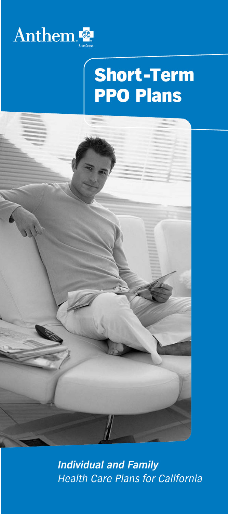

# Short-Term PPO Plans



*Individual and Family Health Care Plans for California*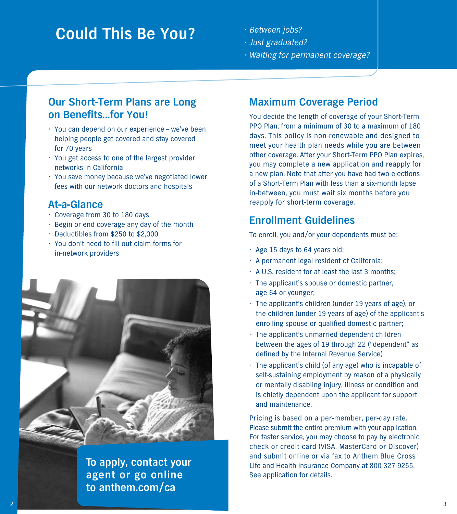# **Could This Be You?**

- Between jobs?
- Just graduated?
- Waiting for permanent coverage?

## **Our Short-Term Plans are Long on Benefits...for You!**

- You can depend on our experience we've been helping people get covered and stay covered for 70 years
- You get access to one of the largest provider networks in California
- You save money because we've negotiated lower fees with our network doctors and hospitals

## **At-a-Glance**

- Coverage from 30 to 180 days
- Begin or end coverage any day of the month
- Deductibles from \$250 to \$2,000
- You don't need to fill out claim forms for in-network providers



**To apply, contact your agent or go online to anthem.com/ca**

# **Maximum Coverage Period**

You decide the length of coverage of your Short-Term PPO Plan, from a minimum of 30 to a maximum of 180 days. This policy is non-renewable and designed to meet your health plan needs while you are between other coverage. After your Short-Term PPO Plan expires, you may complete a new application and reapply for a new plan. Note that after you have had two elections of a Short-Term Plan with less than a six-month lapse in-between, you must wait six months before you reapply for short-term coverage.

# **Enrollment Guidelines**

To enroll, you and/or your dependents must be:

- Age 15 days to 64 years old;
- A permanent legal resident of California;
- A U.S. resident for at least the last 3 months;
- The applicant's spouse or domestic partner, age 64 or younger;
- The applicant's children (under 19 years of age), or the children (under 19 years of age) of the applicant's enrolling spouse or qualified domestic partner;
- The applicant's unmarried dependent children between the ages of 19 through 22 ("dependent" as defined by the Internal Revenue Service)
- The applicant's child (of any age) who is incapable of self-sustaining employment by reason of a physically or mentally disabling injury, illness or condition and is chiefly dependent upon the applicant for support and maintenance.

Pricing is based on a per-member, per-day rate. Please submit the entire premium with your application. For faster service, you may choose to pay by electronic check or credit card (VISA, MasterCard or Discover) and submit online or via fax to Anthem Blue Cross Life and Health Insurance Company at 800-327-9255. See application for details.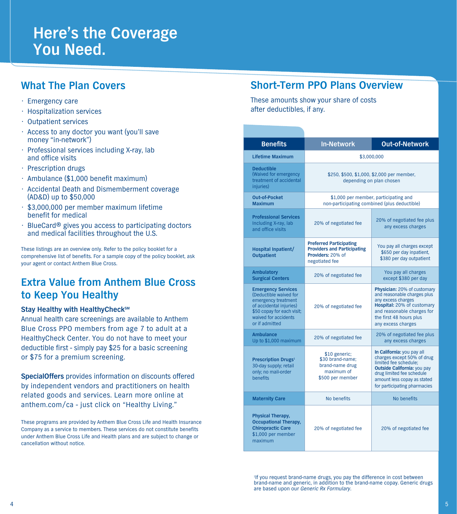# **Here's the Coverage You Need.**

# **What The Plan Covers**

- Emergency care
- Hospitalization services
- Outpatient services
- Access to any doctor you want (you'll save money "in-network")
- Professional services including X-ray, lab and office visits
- Prescription drugs
- Ambulance (\$1,000 benefit maximum)
- Accidental Death and Dismemberment coverage (AD&D) up to \$50,000
- \$3,000,000 per member maximum lifetime benefit for medical
- BlueCard**®** gives you access to participating doctors and medical facilities throughout the U.S.

These listings are an overview only. Refer to the policy booklet for a comprehensive list of benefits. For a sample copy of the policy booklet, ask your agent or contact Anthem Blue Cross.

# **Extra Value from Anthem Blue Cross to Keep You Healthy**

### **Stay Healthy with HealthyCheck<sup>SM</sup>**

Annual health care screenings are available to Anthem Blue Cross PPO members from age 7 to adult at a HealthyCheck Center. You do not have to meet your deductible first - simply pay \$25 for a basic screening or \$75 for a premium screening.

**SpecialOffers** provides information on discounts offered by independent vendors and practitioners on health related goods and services. Learn more online at anthem.com/ca - just click on "Healthy Living."

These programs are provided by Anthem Blue Cross Life and Health Insurance Company as a service to members. These services do not constitute benefits under Anthem Blue Cross Life and Health plans and are subject to change or cancellation without notice.

## **Short-Term PPO Plans Overview**

These amounts show your share of costs after deductibles, if any.

| <b>Benefits</b>                                                                                                                                                               | <b>In-Network</b>                                                                                           | <b>Out-of-Network</b>                                                                                                                                                                                        |
|-------------------------------------------------------------------------------------------------------------------------------------------------------------------------------|-------------------------------------------------------------------------------------------------------------|--------------------------------------------------------------------------------------------------------------------------------------------------------------------------------------------------------------|
| Lifetime Maximum                                                                                                                                                              |                                                                                                             | \$3.000.000                                                                                                                                                                                                  |
| <b>Deductible</b><br>(Waived for emergency<br>treatment of accidental<br>iniuries)                                                                                            |                                                                                                             | \$250, \$500, \$1,000, \$2,000 per member,<br>depending on plan chosen                                                                                                                                       |
| <b>Out-of-Pocket</b><br><b>Maximum</b>                                                                                                                                        |                                                                                                             | \$1,000 per member, participating and<br>non-participating combined (plus deductible)                                                                                                                        |
| <b>Professional Services</b><br>Including X-ray, lab<br>and office visits                                                                                                     | 20% of negotiated fee                                                                                       | 20% of negotiated fee plus<br>any excess charges                                                                                                                                                             |
| Hospital Inpatient/<br><b>Outpatient</b>                                                                                                                                      | <b>Preferred Participating</b><br><b>Providers and Participating</b><br>Providers: 20% of<br>negotiated fee | You pay all charges except<br>\$650 per day inpatient,<br>\$380 per day outpatient                                                                                                                           |
| <b>Ambulatory</b><br><b>Surgical Centers</b>                                                                                                                                  | 20% of negotiated fee                                                                                       | You pay all charges<br>except \$380 per day                                                                                                                                                                  |
| <b>Emergency Services</b><br>(Deductible waived for<br>emergency treatment<br>of accidental injuries)<br>\$50 copay for each visit;<br>waived for accidents<br>or if admitted | 20% of negotiated fee                                                                                       | Physician: 20% of customary<br>and reasonable charges plus<br>any excess charges<br>Hospital: 20% of customary<br>and reasonable charges for<br>the first 48 hours plus<br>any excess charges                |
| <b>Ambulance</b><br>Up to \$1,000 maximum                                                                                                                                     | 20% of negotiated fee                                                                                       | 20% of negotiated fee plus<br>any excess charges                                                                                                                                                             |
| <b>Prescription Drugs1</b><br>30-day supply; retail<br>only: no mail-order<br><b>henefits</b>                                                                                 | \$10 generic;<br>\$30 brand-name:<br>brand-name drug<br>maximum of<br>\$500 per member                      | In California: you pay all<br>charges except 50% of drug<br>limited fee schedule:<br>Outside California: you pay<br>drug limited fee schedule<br>amount less copay as stated<br>for participating pharmacies |
| <b>Maternity Care</b>                                                                                                                                                         | No benefits                                                                                                 | No benefits                                                                                                                                                                                                  |
| Physical Therapy,<br><b>Occupational Therapy,</b><br><b>Chiropractic Care</b><br>\$1,000 per member<br>maximum                                                                | 20% of negotiated fee                                                                                       | 20% of negotiated fee                                                                                                                                                                                        |

<sup>1</sup>If you request brand-name drugs, you pay the difference in cost between brand-name and generic, in addition to the brand-name copay. Generic drugs are based upon our Generic Rx Formulary.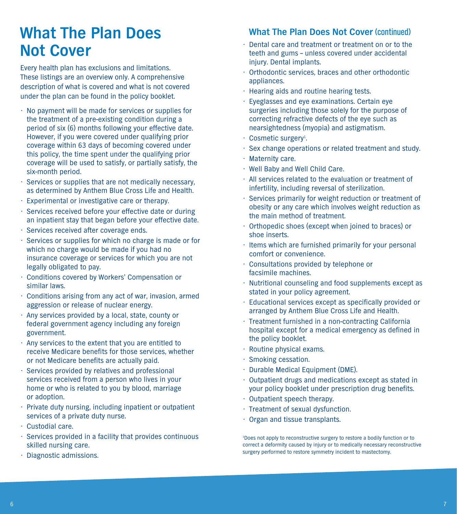# **What The Plan Does Not Cover**

Every health plan has exclusions and limitations. These listings are an overview only. A comprehensive description of what is covered and what is not covered under the plan can be found in the policy booklet.

- No payment will be made for services or supplies for the treatment of a pre-existing condition during a period of six (6) months following your effective date. However, if you were covered under qualifying prior coverage within 63 days of becoming covered under this policy, the time spent under the qualifying prior coverage will be used to satisfy, or partially satisfy, the six-month period.
- Services or supplies that are not medically necessary, as determined by Anthem Blue Cross Life and Health.
- Experimental or investigative care or therapy.
- Services received before your effective date or during an inpatient stay that began before your effective date.
- Services received after coverage ends.
- Services or supplies for which no charge is made or for which no charge would be made if you had no insurance coverage or services for which you are not legally obligated to pay.
- Conditions covered by Workers' Compensation or similar laws.
- Conditions arising from any act of war, invasion, armed aggression or release of nuclear energy.
- Any services provided by a local, state, county or federal government agency including any foreign government.
- Any services to the extent that you are entitled to receive Medicare benefits for those services, whether or not Medicare benefits are actually paid.
- Services provided by relatives and professional services received from a person who lives in your home or who is related to you by blood, marriage or adoption.
- Private duty nursing, including inpatient or outpatient services of a private duty nurse.
- Custodial care.
- Services provided in a facility that provides continuous skilled nursing care.
- Diagnostic admissions.

### **What The Plan Does Not Cover (continued)**

- Dental care and treatment or treatment on or to the teeth and gums – unless covered under accidental iniury. Dental implants.
- Orthodontic services, braces and other orthodontic appliances.
- Hearing aids and routine hearing tests.
- Eyeglasses and eye examinations. Certain eye surgeries including those solely for the purpose of correcting refractive defects of the eye such as nearsightedness (myopia) and astigmatism.
- Cosmetic surgery<sup>1</sup>.
- Sex change operations or related treatment and study.
- Maternity care.
- Well Baby and Well Child Care.
- All services related to the evaluation or treatment of infertility, including reversal of sterilization.
- Services primarily for weight reduction or treatment of obesity or any care which involves weight reduction as the main method of treatment.
- Orthopedic shoes (except when joined to braces) or shoe inserts.
- Items which are furnished primarily for your personal comfort or convenience.
- Consultations provided by telephone or facsimile machines.
- Nutritional counseling and food supplements except as stated in your policy agreement.
- Educational services except as specifically provided or arranged by Anthem Blue Cross Life and Health.
- Treatment furnished in a non-contracting California hospital except for a medical emergency as defined in the policy booklet.
- Routine physical exams.
- Smoking cessation.
- Durable Medical Equipment (DME).
- Outpatient drugs and medications except as stated in your policy booklet under prescription drug benefits.
- Outpatient speech therapy.
- Treatment of sexual dysfunction.
- Organ and tissue transplants.

1 Does not apply to reconstructive surgery to restore a bodily function or to correct a deformity caused by injury or to medically necessary reconstructive surgery performed to restore symmetry incident to mastectomy.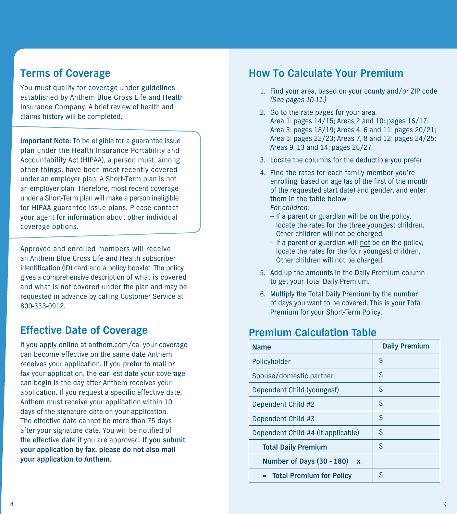# **Terms of Coverage**

You must qualify for coverage under guidelines established by Anthem Blue Cross Life and Health Insurance Company. A brief review of health and claims history will be completed.

**Important Note:** To be eligible for a guarantee issue plan under the Health Insurance Portability and Accountability Act (HIPAA), a person must, among other things, have been most recently covered under an employer plan. A Short-Term plan is not an employer plan. Therefore, most recent coverage under a Short-Term plan will make a person ineligible for HIPAA guarantee issue plans. Please contact your agent for information about other individual coverage options.

Approved and enrolled members will receive an Anthem Blue Cross Life and Health subscriber identification (ID) card and a policy booklet. The policy gives a comprehensive description of what is covered and what is not covered under the plan and may be requested in advance by calling Customer Service at 800-333-0912.

## **Effective Date of Coverage**

If you apply online at anthem.com/ca, your coverage can become effective on the same date Anthem receives your application. If you prefer to mail or fax your application, the earliest date your coverage can begin is the day after Anthem receives your application. If you request a specific effective date, Anthem must receive your application within 10 days of the signature date on your application. The effective date cannot be more than 75 days after your signature date. You will be notified of the effective date if you are approved. **If you submit your application by fax, please do not also mail your application to Anthem.** 

### **How To Calculate Your Premium**

- 1. Find your area, based on your county and/or ZIP code (See pages 10-11.)
- 2. Go to the rate pages for your area. Area 1: pages 14/15; Areas 2 and 10: pages 16/17; Area 3: pages 18/19; Areas 4, 6 and 11: pages 20/21; Area 5: pages 22/23; Areas 7, 8 and 12: pages 24/25; Areas 9, 13 and 14: pages 26/27
- 3. Locate the columns for the deductible you prefer.
- 4. Find the rates for each family member you're enrolling, based on age (as of the first of the month of the requested start date) and gender, and enter them in the table below For children:
	- If a parent or guardian will be on the policy, locate the rates for the three youngest children. Other children will not be charged.
	- $-$  If a parent or guardian will not be on the policy, locate the rates for the four youngest children. Other children will not be charged.
- 5. Add up the amounts in the Daily Premium column to get your Total Daily Premium.
- 6. Multiply the Total Daily Premium by the number of days you want to be covered. This is your Total Premium for your Short-Term Policy.

# **Premium Calculation Table**

| <b>Name</b>                        | <b>Daily Premium</b> |
|------------------------------------|----------------------|
| Policyholder                       | \$                   |
| Spouse/domestic partner            | \$                   |
| Dependent Child (youngest)         | \$                   |
| Dependent Child #2                 | \$                   |
| Dependent Child #3                 | \$                   |
| Dependent Child #4 (if applicable) | \$                   |
| <b>Total Daily Premium</b>         | \$                   |
| Number of Days (30 - 180) x        |                      |
| = Total Premium for Policy         |                      |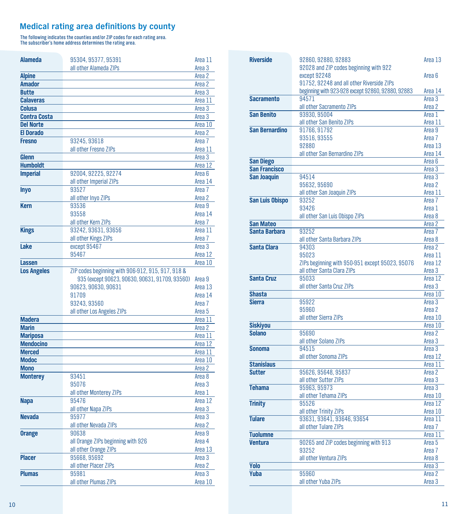### **Medical rating area definitions by county**

The following indicates the counties and/or ZIP codes for each rating area. The subscriber's home address determines the rating area.

| <b>Alameda</b>      | 95304, 95377, 95391                               | Area 11           |
|---------------------|---------------------------------------------------|-------------------|
|                     | all other Alameda ZIPs                            | Area 3            |
| <b>Alpine</b>       |                                                   | Area 2            |
| <b>Amador</b>       |                                                   | Area 2            |
| <b>Butte</b>        |                                                   | Area 3            |
| <b>Calaveras</b>    |                                                   | Area 11           |
| Colusa              |                                                   | Area 3            |
| <b>Contra Costa</b> |                                                   | Area 3            |
| <b>Del Norte</b>    |                                                   | Area 10           |
| <b>El Dorado</b>    |                                                   | Area 2            |
| <b>Fresno</b>       | 93245, 93618                                      | Area <sub>7</sub> |
|                     | all other Fresno ZIPs                             | Area 11           |
| Glenn               |                                                   | Area 3            |
| <b>Humboldt</b>     |                                                   | Area 12           |
| <b>Imperial</b>     | 92004, 92225, 92274                               | Area <sub>6</sub> |
|                     | all other Imperial ZIPs                           | Area 14           |
| <b>Inyo</b>         | 93527                                             | Area 7            |
|                     | all other Inyo ZIPs                               | Area 2            |
| <b>Kern</b>         | 93536                                             | Area 9            |
|                     | 93558                                             | Area 14           |
|                     | all other Kern ZIPs                               | Area 7            |
| <b>Kings</b>        | 93242, 93631, 93656                               | Area 11           |
|                     | all other Kings ZIPs                              | Area 7            |
| Lake                | except 95467                                      | Area 3            |
|                     | 95467                                             | Area 12           |
| Lassen              |                                                   | Area 10           |
| <b>Los Angeles</b>  | ZIP codes beginning with 906-912, 915, 917, 918 & |                   |
|                     | 935 (except 90623, 90630, 90631, 91709, 93560)    | Area 9            |
|                     | 90623, 90630, 90631                               | Area 13           |
|                     | 91709                                             | Area 14           |
|                     | 93243, 93560                                      | Area 7            |
|                     | all other Los Angeles ZIPs                        | Area 5            |
| <b>Madera</b>       |                                                   | Area 11           |
| <b>Marin</b>        |                                                   | Area 2            |
| <b>Mariposa</b>     |                                                   | Area 11           |
| <b>Mendocino</b>    |                                                   | Area 12           |
| <b>Merced</b>       |                                                   | Area 11           |
| Modoc               |                                                   | Area 10           |
| <b>Mono</b>         |                                                   | Area 2            |
| <b>Monterey</b>     | 93451                                             | Area 8            |
|                     | 95076                                             | Area 3            |
|                     | all other Monterey ZIPs                           | Area 1            |
| <b>Napa</b>         | 95476                                             | Area 12           |
|                     | all other Napa ZIPs                               | Area 3            |
| <b>Nevada</b>       | 95977                                             | Area 3            |
|                     | all other Nevada ZIPs                             | Area 2            |
| <b>Orange</b>       | 90638                                             | Area 9            |
|                     | all Orange ZIPs beginning with 926                | Area 4            |
|                     | all other Orange ZIPs                             | Area 13           |
| <b>Placer</b>       |                                                   | Area 3            |
|                     |                                                   |                   |
|                     | 95668, 95692                                      |                   |
|                     | all other Placer ZIPs                             | Area 2            |
| <b>Plumas</b>       | 95981<br>all other Plumas ZIPs                    | Area 3<br>Area 10 |

| <b>Riverside</b>      | 92860, 92880, 92883<br>92028 and ZIP codes beginning with 922                 | Area 13           |
|-----------------------|-------------------------------------------------------------------------------|-------------------|
|                       | except 92248                                                                  | Area 6            |
|                       | 91752, 92248 and all other Riverside ZIPs                                     |                   |
|                       | beginning with 923-928 except 92860, 92880, 92883                             | Area 14           |
| <b>Sacramento</b>     | 94571                                                                         | Area 3            |
|                       | all other Sacramento ZIPs                                                     | Area 2            |
| <b>San Benito</b>     | 93930, 95004                                                                  | Area 1            |
|                       | all other San Benito ZIPs                                                     | Area 11           |
| <b>San Bernardino</b> | 91766, 91792                                                                  | Area 9            |
|                       | 93516, 93555                                                                  | Area 7            |
|                       | 92880                                                                         | Area 13           |
|                       | all other San Bernardino ZIPs                                                 | Area 14           |
| <b>San Diego</b>      |                                                                               | Area 6            |
| <b>San Francisco</b>  |                                                                               | Area 3            |
| <b>San Joaquin</b>    | 94514                                                                         | Area 3            |
|                       | 95632, 95690                                                                  | Area 2            |
|                       | all other San Joaquin ZIPs                                                    | Area 11           |
| San Luis Obispo       | 93252                                                                         | Area 7            |
|                       | 93426                                                                         | Area 1            |
|                       | all other San Luis Obispo ZIPs                                                | Area 8            |
| <b>San Mateo</b>      |                                                                               | Area 2            |
| Santa Barbara         | 93252                                                                         | Area <sub>7</sub> |
|                       | all other Santa Barbara ZIPs                                                  | Area 8            |
| Santa Clara           | 94303                                                                         | Area 2            |
|                       | 95023                                                                         | Area 11           |
|                       | ZIPs beginning with 950-951 except 95023, 95076<br>all other Santa Clara ZIPs | Area 12           |
| <b>Santa Cruz</b>     | 95033                                                                         | Area 3<br>Area 12 |
|                       | all other Santa Cruz ZIPs                                                     | Area 3            |
| <b>Shasta</b>         |                                                                               | Area 10           |
| <b>Sierra</b>         | 95922                                                                         | Area 3            |
|                       | 95960                                                                         | Area 2            |
|                       | all other Sierra ZIPs                                                         | Area 10           |
| <b>Siskiyou</b>       |                                                                               | Area 10           |
| <b>Solano</b>         | 95690                                                                         | Area 2            |
|                       | all other Solano ZIPs                                                         | Area 3            |
| <b>Sonoma</b>         | 94515                                                                         | Area 3            |
|                       | all other Sonoma ZIPs                                                         | Area 12           |
| <b>Stanislaus</b>     |                                                                               | Area 11           |
| <b>Sutter</b>         | 95626, 95648, 95837                                                           | Area 2            |
|                       | all other Sutter ZIPs                                                         | Area 3            |
| <b>Tehama</b>         | 95963, 95973                                                                  | Area 3            |
|                       | all other Tehama ZIPs                                                         | Area 10           |
| <b>Trinity</b>        | 95526                                                                         | Area 12           |
|                       | all other Trinity ZIPs                                                        | Area 10           |
| <b>Tulare</b>         | 93631, 93641, 93646, 93654                                                    | Area 11           |
|                       | all other Tulare ZIPs                                                         | Area 7            |
| <b>Tuolumne</b>       |                                                                               | Area 11           |
| <b>Ventura</b>        | 90265 and ZIP codes beginning with 913                                        | Area 5            |
|                       | 93252                                                                         | Area 7            |
|                       | all other Ventura ZIPs                                                        | Area 8            |
| <b>Yolo</b>           |                                                                               | Area 3            |
| <b>Yuba</b>           | 95960                                                                         | Area 2            |
|                       | all other Yuba ZIPs                                                           | Area 3            |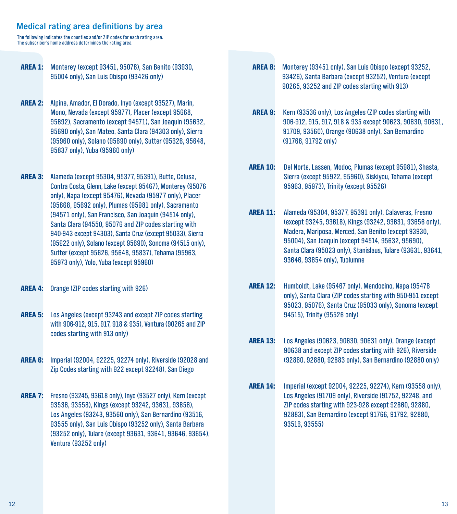### **Medical rating area definitions by area**

The following indicates the counties and/or ZIP codes for each rating area. The subscriber's home address determines the rating area.

- AREA 1: Monterey (except 93451, 95076), San Benito (93930, 95004 only), San Luis Obispo (93426 only)
- AREA 2: Alpine, Amador, El Dorado, Inyo (except 93527), Marin, Mono, Nevada (except 95977), Placer (except 95668, 95692), Sacramento (except 94571), San Joaquin (95632, 95690 only), San Mateo, Santa Clara (94303 only), Sierra (95960 only), Solano (95690 only), Sutter (95626, 95648, 95837 only), Yuba (95960 only)
- AREA 3: Alameda (except 95304, 95377, 95391), Butte, Colusa, Contra Costa, Glenn, Lake (except 95467), Monterey (95076 only), Napa (except 95476), Nevada (95977 only), Placer (95668, 95692 only), Plumas (95981 only), Sacramento (94571 only), San Francisco, San Joaquin (94514 only), Santa Clara (94550, 95076 and ZIP codes starting with 940-943 except 94303), Santa Cruz (except 95033), Sierra (95922 only), Solano (except 95690), Sonoma (94515 only), Sutter (except 95626, 95648, 95837), Tehama (95963, 95973 only), Yolo, Yuba (except 95960)
- AREA 4: Orange (ZIP codes starting with 926)
- AREA 5: Los Angeles (except 93243 and except ZIP codes starting with 906-912, 915, 917, 918 & 935), Ventura (90265 and ZIP codes starting with 913 only)
- AREA 6: Imperial (92004, 92225, 92274 only), Riverside (92028 and Zip Codes starting with 922 except 92248), San Diego
- AREA 7: Fresno (93245, 93618 only), Inyo (93527 only), Kern (except 93536, 93558), Kings (except 93242, 93631, 93656), Los Angeles (93243, 93560 only), San Bernardino (93516, 93555 only), San Luis Obispo (93252 only), Santa Barbara (93252 only), Tulare (except 93631, 93641, 93646, 93654), Ventura (93252 only)
- AREA 8: Monterey (93451 only), San Luis Obispo (except 93252, 93426), Santa Barbara (except 93252), Ventura (except 90265, 93252 and ZIP codes starting with 913)
- AREA 9: Kern (93536 only), Los Angeles (ZIP codes starting with 906-912, 915, 917, 918 & 935 except 90623, 90630, 90631, 91709, 93560), Orange (90638 only), San Bernardino (91766, 91792 only)
- AREA 10: Del Norte, Lassen, Modoc, Plumas (except 95981), Shasta, Sierra (except 95922, 95960), Siskiyou, Tehama (except 95963, 95973), Trinity (except 95526)
- AREA 11: Alameda (95304, 95377, 95391 only), Calaveras, Fresno (except 93245, 93618), Kings (93242, 93631, 93656 only), Madera, Mariposa, Merced, San Benito (except 93930, 95004), San Joaquin (except 94514, 95632, 95690), Santa Clara (95023 only), Stanislaus, Tulare (93631, 93641, 93646, 93654 only), Tuolumne
- AREA 12: Humboldt, Lake (95467 only), Mendocino, Napa (95476 only), Santa Clara (ZIP codes starting with 950-951 except 95023, 95076), Santa Cruz (95033 only), Sonoma (except 94515), Trinity (95526 only)
- AREA 13: Los Angeles (90623, 90630, 90631 only), Orange (except 90638 and except ZIP codes starting with 926), Riverside (92860, 92880, 92883 only), San Bernardino (92880 only)
- AREA 14: Imperial (except 92004, 92225, 92274), Kern (93558 only), Los Angeles (91709 only), Riverside (91752, 92248, and ZIP codes starting with 923-928 except 92860, 92880, 92883), San Bernardino (except 91766, 91792, 92880, 93516, 93555)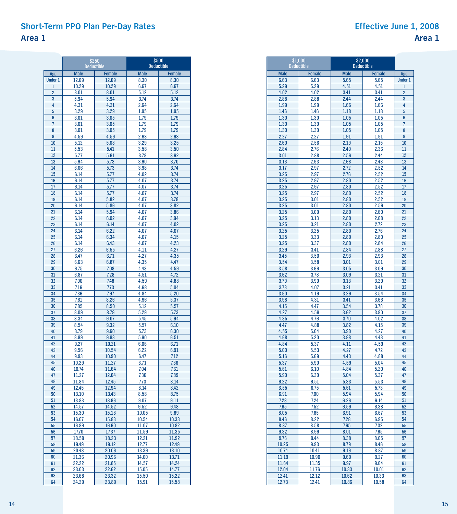### **Short-Term PPO Plan Per-Day Rates Area 1**

r.

.<br>1900 - Angel III (1900)

|                | \$250          | <b>Deductible</b> | <b>Deductible</b> | \$500          |
|----------------|----------------|-------------------|-------------------|----------------|
| Age            | <b>Male</b>    | <b>Female</b>     | <b>Male</b>       | <b>Female</b>  |
| <b>Under 1</b> | 12.69          | 12.69             | 8.30              | 8.30           |
| $\mathbf{1}$   | 10.29          | 10.29             | 6.67              | 6.67           |
| $\overline{2}$ | 8.01           | 8.01              | 5.12              | 5.12           |
| 3              | 5.94           | 5.94              | 3.74              | 3.74           |
| 4              | 4.31           | 4.31              | 2.64              | 2.64           |
| 5<br>6         | 3.29<br>3.01   | 3.29<br>3.05      | 1.95<br>1.79      | 1.95<br>1.79   |
| $\overline{7}$ | 3.01           | 3.05              | 1.79              | 1.79           |
| 8              | 3.01           | 3.05              | 1.79              | 1.79           |
| 9              | 4.59           | 4.59              | 2.93              | 2.93           |
| 10             | 5.12           | 5.08              | 3.29              | 3.25           |
| 11             | 5.53           | 5.41              | 3.58              | 3.50           |
| 12             | 5.77           | 5.61              | 3.78              | 3.62           |
| 13             | 5.94           | 5.73              | 3.90              | 3.70           |
| 14<br>15       | 6.06<br>6.14   | 5.73<br>5.77      | 3.98<br>4.02      | 3.74<br>3.74   |
| 16             | 6.14           | 5.77              | 4.07              | 3.74           |
| 17             | 6.14           | 5.77              | 4.07              | 3.74           |
| 18             | 6.14           | 5.77              | 4.07              | 3.74           |
| 19             | 6.14           | 5.82              | 4.07              | 3.78           |
| 20             | 6.14           | 5.86              | 4.07              | 3.82           |
| 21             | 6.14           | 5.94              | 4.07              | 3.86           |
| 22             | 6.14           | 6.02              | 4.07              | 3.94           |
| 23             | 6.14           | 6.14              | 4.07              | 4.02<br>4.07   |
| 24<br>25       | 6.14<br>6.14   | 6.22<br>6.34      | 4.07<br>4.07      | 4.15           |
| 26             | 6.14           | 6.43              | 4.07              | 4.23           |
| 27             | 6.26           | 6.55              | 4.11              | 4.27           |
| 28             | 6.47           | 6.71              | 4.27              | 4.35           |
| 29             | 6.63           | 6.87              | 4.35              | 4.47           |
| 30             | 6.75           | 7.08              | 4.43              | 4.59           |
| 31<br>32       | 6.87<br>7.00   | 7.28<br>7.48      | 4.51<br>4.59      | 4.72<br>4.88   |
| 33             | 7.16           | 7.73              | 4.68              | 5.04           |
| 34             | 7.36           | 7.97              | 4.84              | 5.20           |
| 35             | 7.61           | 8.26              | 4.96              | 5.37           |
| 36             | 7.85           | 8.50              | 5.12              | 5.57           |
| 37             | 8.09           | 8.79              | 5.29              | 5.73           |
| 38<br>39       | 8.34           | 9.07<br>9.32      | 5.45              | 5.94<br>6.10   |
| 40             | 8.54<br>8.79   | 9.60              | 5.57<br>5.73      | 6.30           |
| 41             | 8.99           | 9.93              | 5.90              | 6.51           |
| 42             | 9.27           | 10.21             | 6.06              | 6.71           |
| 43             | 9.56           | 10.54             | 6.22              | 6.91           |
| 44             | 9.93           | 10.90             | 6.47              | 7.12           |
| 45             | 10.29          | 11.27             | 6.71              | 7.36           |
| 46<br>47       | 10.74<br>11.27 | 11.64<br>12.04    | 7.04<br>7.36      | 7.61<br>7.89   |
| 48             | 11.84          | 12.45             | 7.73              | 8.14           |
| 49             | 12.45          | 12.94             | 8.14              | 8.42           |
| 50             | 13.10          | 13.43             | 8.58              | 8.75           |
| 51             | 13.83          | 13.96             | 9.07              | 9.11           |
| 52             | 14.57          | 14.52             | 9.52              | 9.48           |
| 53             | 15.30          | 15.18             | <u> 10.05</u>     | <u>9.89</u>    |
| 54<br>55       | 16.07<br>16.89 | 15.83<br>16.60    | 10.54<br>11.07    | 10.33<br>10.82 |
| 56             | 17.70          | 17.37             | 11.59             | 11.35          |
| 57             | 18.59          | 18.23             | 12.21             | 11.92          |
| 58             | 19.49          | 19.12             | 12.77             | 12.49          |
| 59             | 20.43          | 20.06             | 13.39             | 13.10          |
| 60             | 21.36          | 20.96             | 14.00             | 13.71          |
| 61<br>62       | 22.22<br>23.03 | 21.85<br>22.62    | 14.57<br>15.05    | 14.24<br>14.77 |
| 63             | 23.68          | 23.32             | 15.50             | 15.22          |
| 64             | 24.29          | 23.89             | 15.91             | 15.58          |

|              | \$1.000<br><b>Deductible</b> |              | \$2,000<br><b>Deductible</b> |                |
|--------------|------------------------------|--------------|------------------------------|----------------|
| <b>Male</b>  | <b>Female</b>                | <b>Male</b>  | <b>Female</b>                | Age            |
| 6.63         | 6.63                         | 5.65         | 5.65                         | <b>Under 1</b> |
| 5.29         | 5.29                         | 4.51         | 4.51                         | 1              |
| 4.02         | 4.02                         | 3.41         | 3.41                         | $\overline{2}$ |
| 2.88         | 2.88                         | 2.44         | 2.44                         | 3              |
| 1.99         | 1.99                         | 1.66         | 1.66                         | 4              |
| 1.46<br>1.30 | 1.46<br>1.30                 | 1.18<br>1.05 | 1.18<br>1.05                 | 5<br>6         |
| 1.30         | 1.30                         | 1.05         | 1.05                         | 7              |
| 1.30         | 1.30                         | 1.05         | 1.05                         | 8              |
| 2.27         | 2.27                         | 1.91         | 1.91                         | 9              |
| 2.60         | 2.56                         | 2.19         | 2.15                         | 10             |
| 2.84         | 2.76                         | 2.40         | 2.36                         | 11             |
| 3.01         | 2.88                         | 2.56         | 2.44                         | 12             |
| 3.13         | 2.93                         | 2.68         | 2.48                         | 13             |
| 3.17<br>3.25 | 2.97<br>2.97                 | 2.72<br>2.76 | 2.52<br>2.52                 | 14<br>15       |
| 3.25         | 2.97                         | 2.80         | 2.52                         | 16             |
| 3.25         | 2.97                         | 2.80         | 2.52                         | 17             |
| 3.25         | 2.97                         | 2.80         | 2.52                         | 18             |
| 3.25         | 3.01                         | 2.80         | 2.52                         | 19             |
| 3.25         | 3.01                         | 2.80         | 2.56                         | 20             |
| 3.25         | 3.09                         | 2.80         | 2.60                         | 21             |
| 3.25         | 3.13                         | 2.80         | 2.68                         | 22             |
| 3.25         | 3.21                         | 2.80         | 2.72                         | 23             |
| 3.25         | 3.25                         | 2.80         | 2.76                         | 24<br>25       |
| 3.25<br>3.25 | 3.33<br>3.37                 | 2.80<br>2.80 | 2.80<br>2.84                 | 26             |
| 3.29         | 3.41                         | 2.84         | 2.88                         | 27             |
| 3.45         | 3.50                         | 2.93         | 2.93                         | 28             |
| 3.54         | 3.58                         | 3.01         | 3.01                         | 29             |
| 3.58         | 3.66                         | 3.05         | 3.09                         | 30             |
| 3.62         | 3.78                         | 3.09         | 3.21                         | 31             |
| 3.70         | 3.90                         | 3.13         | 3.29                         | 32             |
| 3.78         | 4.07                         | 3.21         | 3.41                         | 33             |
| 3.90<br>3.98 | 4.19<br>4.31                 | 3.29<br>3.41 | 3.54                         | 34<br>35       |
| 4.15         | 4.47                         | 3.54         | 3.66<br>3.78                 | 36             |
| 4.27         | 4.59                         | 3.62         | 3.90                         | 37             |
| 4.35         | 4.76                         | 3.70         | 4.02                         | 38             |
| 4.47         | 4.88                         | 3.82         | 4.15                         | 39             |
| 4.55         | 5.04                         | 3.90         | 4.27                         | 40             |
| 4.68         | 5.20                         | 3.98         | 4.43                         | 41             |
| 4.84         | 5.37                         | 4.11         | 4.59                         | 42             |
| 5.00         | 5.53                         | 4.27         | 4.72                         | 43             |
| 5.16<br>5.37 | 5.69<br>5.90                 | 4.43<br>4.59 | 4.88<br>5.04                 | 44<br>45       |
| 5.61         | 6.10                         | 4.84         | 5.20                         | 46             |
| 5.90         | 6.30                         | 5.04         | 5.37                         | 47             |
| 6.22         | 6.51                         | 5.33         | 5.53                         | 48             |
| 6.55         | 6.75                         | 5.61         | 5.73                         | 49             |
| 6.91         | 7.00                         | 5.94         | 5.94                         | 50             |
| 7.28         | 7.24                         | 6.26         | 6.14                         | 51             |
| 7.65         | 7.52                         | 6.59         | 6.38                         | 52             |
| 8.05         | 7.85                         | 6.91         | 6.67                         | 53             |
| 8.46<br>8.87 | 8.22<br>8.58                 | 7.28<br>7.65 | 6.95<br>7.32                 | 54<br>55       |
| 9.32         | 8.99                         | 8.01         | 7.65                         | 56             |
| 9.76         | 9.44                         | 8.38         | 8.05                         | 57             |
| 10.25        | 9.93                         | 8.79         | 8.46                         | 58             |
| 10.74        | 10.41                        | 9.19         | 8.87                         | 59             |
| 11.19        | 10.90                        | 9.60         | 9.27                         | 60             |
| 11.64        | 11.35                        | 9.97         | 9.64                         | 61             |
| 12.04        | 11.76                        | 10.33        | 10.01                        | 62             |
| 12.41        | 12.12                        | 10.62        | 10.33                        | 63             |
| 12.73        | 12.41                        | 10.86        | 10.58                        | 64             |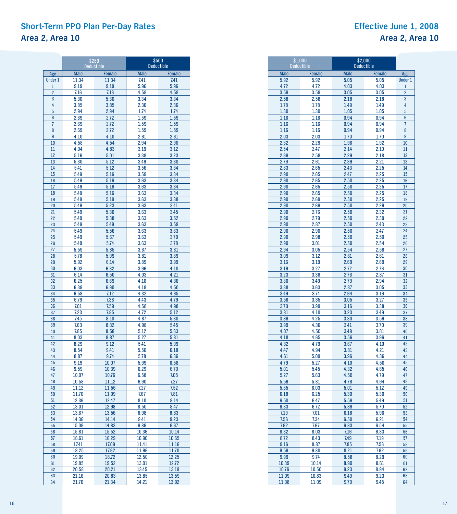### **Short-Term PPO Plan Per-Day Rates Area 2, Area 10**

### **Effective June 1, 2008 Area 2, Area 10**

|                | \$250          | <b>Deductible</b>      | <b>Deductible</b> | \$500          |
|----------------|----------------|------------------------|-------------------|----------------|
| Age            | <b>Male</b>    | <b>Female</b>          | <b>Male</b>       | <b>Female</b>  |
| <b>Under 1</b> | 11.34          | 11.34                  | 7.41              | 7.41           |
| $\mathbf{1}$   | 9.19           | 9.19                   | 5.96              | 5.96           |
| $\overline{2}$ | 7.16           | 7.16                   | 4.58              | 4.58           |
| 3              | 5.30           | 5.30                   | 3.34              | 3.34           |
| 4              | 3.85           | 3.85                   | 2.36              | 2.36           |
| 5              | 2.94           | 2.94                   | 1.74              | 1.74           |
| 6              | 2.69           | 2.72                   | 1.59              | 1.59           |
| $\overline{7}$ | 2.69           | 2.72                   | 1.59              | 1.59           |
| 8              | 2.69           | 2.72                   | 1.59              | 1.59           |
| 9              | 4.10           | 4.10                   | 2.61              | 2.61           |
| 10             | 4.58           | 4.54                   | 2.94              | 2.90           |
| 11<br>12       | 4.94<br>5.16   | 4.83                   | 3.19<br>3.38      | 3.12           |
| 13             | 5.30           | 5.01<br>5.12           | 3.49              | 3.23<br>3.30   |
| 14             | 5.41           | 5.12                   | 3.56              | 3.34           |
| 15             | 5.49           | 5.16                   | 3.59              | 3.34           |
| 16             | 5.49           | 5.16                   | 3.63              | 3.34           |
| 17             | 5.49           | 5.16                   | 3.63              | 3.34           |
| 18             | 5.49           | 5.16                   | 3.63              | 3.34           |
| 19             | 5.49           | 5.19                   | 3.63              | 3.38           |
| 20             | 5.49           | 5.23                   | 3.63              | 3.41           |
| 21             | 5.49           | 5.30                   | 3.63              | 3.45           |
| 22             | 5.49           | 5.38                   | 3.63              | 3.52           |
| 23             | 5.49           | 5.49                   | 3.63              | 3.59           |
| 24             | 5.49           | 5.56                   | 3.63              | 3.63           |
| 25             | 5.49           | 5.67                   | 3.63              | 3.70           |
| 26             | 5.49           | 5.74                   | 3.63              | 3.78           |
| 27             | 5.59           | 5.85                   | 3.67<br>3.81      | 3.81           |
| 28<br>29       | 5.78<br>5.92   | 5.99<br>6.14           | 3.89              | 3.89<br>3.99   |
| 30             | 6.03           | 6.32                   | 3.96              | 4.10           |
| 31             | 6.14           | 6.50                   | 4.03              | 4.21           |
| 32             | 6.25           | 6.69                   | 4.10              | 4.36           |
| 33             | 6.39           | 6.90                   | 4.18              | 4.50           |
| 34             | 6.58           | 7.12                   | 4.32              | 4.65           |
| 35             | 6.79           | 7.38                   | 4.43              | 4.79           |
| 36             | 7.01           | 7.59                   | 4.58              | 4.98           |
| 37             | 7.23           | 7.85                   | 4.72              | 5.12           |
| 38             | 7.45           | 8.10                   | 4.87              | 5.30           |
| 39             | 7.63           | 8.32                   | 4.98              | 5.45           |
| 40             | 7.85           | 8.58                   | 5.12              | 5.63           |
| 41             | 8.03           | 8.87                   | 5.27              | 5.81           |
| 42             | 8.29           | 9.12                   | 5.41              | 5.99           |
| 43<br>44       | 8.54           | 9.41<br>9.74           | 5.56<br>5.78      | 6.18           |
| 45             | 8.87<br>9.19   | 10.07                  | 5.99              | 6.36<br>6.58   |
| 46             | 9.59           | 10.39                  | 6.29              | 6.79           |
| 47             | 10.07          | 10.76                  | 6.58              | 7.05           |
| 48             | 10.58          | 11.12                  | 6.90              | 7.27           |
| 49             | 11.12          | 11.56                  | 7.27              | 7.52           |
| 50             | 11.70          | 11.99                  | 7.67              | 7.81           |
| 51             | 12.36          | 12.47                  | 8.10              | 8.14           |
| 52             | 13.01          | 12.98                  | 8.50              | 8.47           |
| 53             | 13.67          | 13.56                  | 8.98              | 8.83           |
| 54             | 14.36          | 14.14                  | 9.41              | 9.23           |
| 55             | 15.09          | 14.83                  | 9.89              | 9.67           |
| 56             | 15.81          | 15.52                  | 10.36             | 10.14          |
| 57             | 16.61          | 16.29                  | 10.90             | 10.65          |
| 58             | 17.41<br>18.25 | 17.09                  | 11.41<br>11.96    | 11.16          |
| 59<br>60       | 19.09          | <u> 17.92</u><br>18.72 | 12.50             | 11.70<br>12.25 |
| 61             | 19.85          | 19.52                  | 13.01             | 12.72          |
| 62             | 20.58          | 20.21                  | 13.45             | 13.19          |
| 63             | 21.16          | 20.83                  | 13.85             | 13.59          |
| 64             | 21.70          | 21.34                  | 14.21             | 13.92          |

|              | \$1.000<br><b>Deductible</b> | \$2,000<br><b>Deductible</b> |               |                     |
|--------------|------------------------------|------------------------------|---------------|---------------------|
| <b>Male</b>  | <b>Female</b>                | <b>Male</b>                  | <b>Female</b> | Age                 |
| 5.92         | 5.92                         | 5.05                         | 5.05          | <b>Under 1</b>      |
| 4.72         | 4.72                         | 4.03                         | 4.03          | 1                   |
| 3.59         | 3.59                         | 3.05                         | 3.05          | $\overline{2}$      |
| 2.58         | 2.58                         | 2.18                         | 2.18          | 3                   |
| 1.78         | 1.78                         | 1.49                         | 1.49          | 4                   |
| 1.30         | 1.30                         | 1.05                         | 1.05          | 5                   |
| 1.16<br>1.16 | 1.16                         | 0.94                         | 0.94          | 6<br>$\overline{7}$ |
| 1.16         | 1.16<br>1.16                 | 0.94<br>0.94                 | 0.94<br>0.94  | 8                   |
| 2.03         | 2.03                         | 1.70                         | 1.70          | 9                   |
| 2.32         | 2.29                         | 1.96                         | 1.92          | 10                  |
| 2.54         | 2.47                         | 2.14                         | 2.10          | 11                  |
| 2.69         | 2.58                         | 2.29                         | 2.18          | 12                  |
| 2.79         | 2.61                         | 2.39                         | 2.21          | 13                  |
| 2.83         | 2.65                         | 2.43                         | 2.25          | 14                  |
| 2.90         | 2.65                         | 2.47                         | 2.25          | 15                  |
| 2.90         | 2.65                         | 2.50                         | 2.25          | 16                  |
| 2.90         | 2.65                         | 2.50                         | 2.25          | 17                  |
| 2.90         | 2.65                         | 2.50                         | 2.25          | 18                  |
| 2.90         | 2.69                         | 2.50                         | 2.25          | 19                  |
| 2.90         | 2.69                         | 2.50                         | 2.29          | 20                  |
| 2.90         | 2.76                         | 2.50                         | 2.32          | 21                  |
| 2.90         | 2.79                         | 2.50                         | 2.39          | 22                  |
| 2.90         | 2.87                         | 2.50                         | 2.43<br>2.47  | 23<br>24            |
| 2.90<br>2.90 | 2.90<br>2.98                 | 2.50<br>2.50                 | 2.50          | 25                  |
| 2.90         | 3.01                         | 2.50                         | 2.54          | 26                  |
| 2.94         | 3.05                         | 2.54                         | 2.58          | 27                  |
| 3.09         | 3.12                         | 2.61                         | 2.61          | 28                  |
| 3.16         | 3.19                         | 2.69                         | 2.69          | 29                  |
| 3.19         | 3.27                         | 2.72                         | 2.76          | 30                  |
| 3.23         | 3.38                         | 2.76                         | 2.87          | 31                  |
| 3.30         | 3.49                         | 2.79                         | 2.94          | 32                  |
| 3.38         | 3.63                         | 2.87                         | 3.05          | 33                  |
| 3.49         | 3.74                         | 2.94                         | 3.16          | 34                  |
| 3.56         | 3.85                         | 3.05                         | 3.27          | 35                  |
| 3.70         | 3.99                         | 3.16                         | 3.38          | 36                  |
| 3.81         | 4.10                         | 3.23                         | 3.49          | 37                  |
| 3.89<br>3.99 | 4.25<br>4.36                 | 3.30<br>3.41                 | 3.59<br>3.70  | 38<br>39            |
| 4.07         | 4.50                         | 3.49                         | 3.81          | 40                  |
| 4.18         | 4.65                         | 3.56                         | 3.96          | 41                  |
| 4.32         | 4.79                         | 3.67                         | 4.10          | 42                  |
| 4.47         | 4.94                         | 3.81                         | 4.21          | 43                  |
| 4.61         | 5.09                         | 3.96                         | 4.36          | 44                  |
| 4.79         | 5.27                         | 4.10                         | 4.50          | 45                  |
| 5.01         | 5.45                         | 4.32                         | 4.65          | 46                  |
| 5.27         | 5.63                         | 4.50                         | 4.79          | 47                  |
| 5.56         | 5.81                         | 4.76                         | 4.94          | 48                  |
| 5.85         | 6.03                         | 5.01                         | 5.12          | 49                  |
| 6.18         | 6.25                         | 5.30                         | 5.30          | 50                  |
| 6.50         | 6.47                         | 5.59                         | 5.49          | 51                  |
| 6.83<br>7.19 | 6.72<br>7.01                 | 5.89<br>6.18                 | 5.70          | 52                  |
| 7.56         | 7.34                         | 6.50                         | 5.96<br>6.21  | 53<br>54            |
| 7.92         | 7.67                         | 6.83                         | 6.54          | 55                  |
| 8.32         | 8.03                         | 7.16                         | 6.83          | 56                  |
| 8.72         | 8.43                         | 7.49                         | 7.19          | 57                  |
| 9.16         | 8.87                         | 7.85                         | 7.56          | 58                  |
| 9.59         | 9.30                         | 8.21                         | 7.92          | 59                  |
| 9.99         | 9.74                         | 8.58                         | 8.29          | 60                  |
| 10.39        | 10.14                        | 8.90                         | 8.61          | 61                  |
| 10.76        | 10.50                        | 9.23                         | 8.94          | 62                  |
| 11.09        | 10.83                        | 9.49                         | 9.23          | 63                  |
| 11.38        | 11.09                        | 9.70                         | 9.45          | 64                  |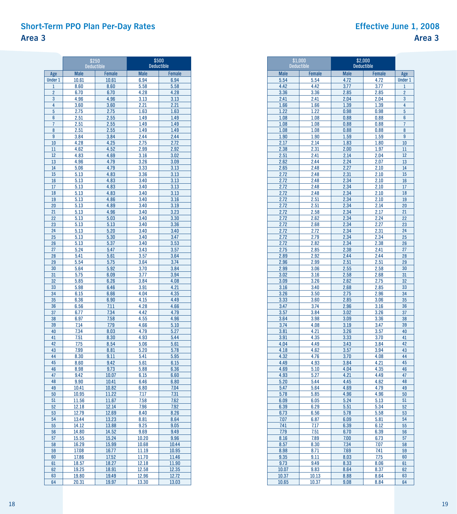### **Short-Term PPO Plan Per-Day Rates Area 3**

|                       | \$250<br><b>Deductible</b> |                        | \$500<br><b>Deductible</b> |                       |
|-----------------------|----------------------------|------------------------|----------------------------|-----------------------|
|                       |                            |                        |                            |                       |
| Age<br><b>Under 1</b> | <b>Male</b><br>10.61       | <b>Female</b><br>10.61 | <b>Male</b><br>6.94        | <b>Female</b><br>6.94 |
| $\mathbf{1}$          | 8.60                       | 8.60                   | 5.58                       | 5.58                  |
| $\overline{2}$        | 6.70                       | 6.70                   | 4.28                       | 4.28                  |
| 3                     | 4.96                       | 4.96                   | 3.13                       | 3.13                  |
| 4                     | 3.60                       | 3.60                   | 2.21                       | 2.21                  |
| 5                     | 2.75                       | 2.75                   | 1.63                       | 1.63                  |
| 6                     | 2.51                       | 2.55                   | 1.49                       | 1.49                  |
| 7                     | 2.51                       | 2.55                   | 1.49                       | 1.49                  |
| 8                     | 2.51                       | 2.55                   | 1.49                       | 1.49                  |
| 9                     | 3.84                       | 3.84                   | 2.44                       | 2.44                  |
| 10                    | 4.28                       | 4.25                   | 2.75                       | 2.72                  |
| 11                    | 4.62                       | 4.52                   | 2.99                       | 2.92                  |
| 12                    | 4.83                       | 4.69                   | 3.16                       | 3.02                  |
| 13                    | 4.96                       | 4.79                   | 3.26                       | 3.09                  |
| 14<br>15              | 5.06<br>5.13               | 4.79                   | 3.33                       | 3.13                  |
| 16                    |                            | 4.83<br>4.83           | 3.36                       | 3.13                  |
| 17                    | 5.13<br>5.13               | 4.83                   | 3.40<br>3.40               | 3.13<br>3.13          |
| 18                    | 5.13                       | 4.83                   | 3.40                       | 3.13                  |
| 19                    | 5.13                       | 4.86                   | 3.40                       | 3.16                  |
| 20                    | 5.13                       | 4.89                   | 3.40                       | 3.19                  |
| 21                    | 5.13                       | 4.96                   | 3.40                       | 3.23                  |
| 22                    | 5.13                       | 5.03                   | 3.40                       | 3.30                  |
| 23                    | 5.13                       | 5.13                   | 3.40                       | 3.36                  |
| 24                    | 5.13                       | 5.20                   | 3.40                       | 3.40                  |
| 25                    | 5.13                       | 5.30                   | 3.40                       | 3.47                  |
| 26                    | 5.13                       | 5.37                   | 3.40                       | 3.53                  |
| 27                    | 5.24                       | 5.47                   | 3.43                       | 3.57                  |
| 28                    | 5.41                       | 5.61                   | 3.57                       | 3.64                  |
| 29                    | 5.54                       | 5.75                   | 3.64                       | 3.74                  |
| 30                    | 5.64                       | 5.92                   | 3.70                       | 3.84                  |
| 31                    | 5.75                       | 6.09                   | 3.77                       | 3.94                  |
| 32<br>33              | 5.85<br>5.98               | 6.26<br>6.46           | 3.84<br>3.91               | 4.08<br>4.21          |
| 34                    | 6.15                       | 6.66                   | 4.04                       | 4.35                  |
| 35                    | 6.36                       | 6.90                   | 4.15                       | 4.49                  |
| 36                    | 6.56                       | 7.11                   | 4.28                       | 4.66                  |
| 37                    | 6.77                       | 7.34                   | 4.42                       | 4.79                  |
| 38                    | 6.97                       | 7.58                   | 4.55                       | 4.96                  |
| 39                    | 7.14                       | 7.79                   | 4.66                       | 5.10                  |
| 40                    | 7.34                       | 8.03                   | 4.79                       | 5.27                  |
| 41                    | 7.51                       | 8.30                   | 4.93                       | 5.44                  |
| 42                    | 7.75                       | 8.54                   | 5.06                       | 5.61                  |
| 43                    | 7.99                       | 8.81                   | 5.20                       | 5.78                  |
| 44                    | 8.30                       | 9.11                   | 5.41                       | 5.95                  |
| 45                    | 8.60                       | 9.42                   | 5.61                       | 6.15                  |
| 46                    | 8.98                       | 9.73                   | 5.88                       | 6.36                  |
| 47                    | 9.42                       | 10.07                  | 6.15                       | 6.60                  |
| 48<br>49              | 9.90                       | 10.41                  | 6.46                       | 6.80                  |
| 50                    | 10.41                      | 10.82                  | 6.80                       | 7.04                  |
| 51                    | 10.95<br>11.56             | 11.22<br>11.67         | 7.17<br>7.58               | 7.31<br>7.62          |
| 52                    | 12.18                      | 12.14                  | 7.96                       | 7.92                  |
| 53                    | 12.79                      | 12.69                  | 8.40                       | 8.26                  |
| 54                    | 13.44                      | 13.23                  | 8.81                       | 8.64                  |
| 55                    | 14.12                      | 13.88                  | 9.25                       | 9.05                  |
| 56                    | 14.80                      | 14.52                  | 9.69                       | 9.49                  |
| 57                    | 15.55                      | 15.24                  | 10.20                      | 9.96                  |
| 58                    | 16.29                      | 15.99                  | 10.68                      | 10.44                 |
| 59                    | 17.08                      | 16.77                  | 11.19                      | 10.95                 |
| 60                    | 17.86                      | 17.52                  | 11.70                      | 11.46                 |
| 61                    | 18.57                      | 18.27                  | 12.18                      | 11.90                 |
| 62                    | 19.25                      | 18.91                  | 12.58                      | 12.35                 |
| 63                    | 19.80                      | <u> 19.49</u>          | 12.96                      | 12.72                 |
| 64                    | 20.31                      | 19.97                  | 13.30                      | 13.03                 |

|              | \$1.000<br><b>Deductible</b> |              | \$2,000<br><b>Deductible</b> |                |  |
|--------------|------------------------------|--------------|------------------------------|----------------|--|
| <b>Male</b>  | <b>Female</b>                | <b>Male</b>  | Female                       | Age            |  |
| 5.54         | 5.54                         | 4.72         | 4.72                         | <b>Under 1</b> |  |
| 4.42         | 4.42                         | 3.77         | 3.77                         | $\mathbf{1}$   |  |
| 3.36         | 3.36                         | 2.85         | 2.85                         | $\overline{2}$ |  |
| 2.41         | 2.41                         | 2.04         | 2.04                         | 3              |  |
| 1.66         | 1.66                         | 1.39         | 1.39                         | 4              |  |
| 1.22<br>1.08 | 1.22<br>1.08                 | 0.98<br>0.88 | 0.98<br>0.88                 | 5<br>6         |  |
| 1.08         | 1.08                         | 0.88         | 0.88                         | $\overline{7}$ |  |
| 1.08         | 1.08                         | 0.88         | 0.88                         | 8              |  |
| 1.90         | 1.90                         | 1.59         | 1.59                         | 9              |  |
| 2.17         | 2.14                         | 1.83         | 1.80                         | 10             |  |
| 2.38         | 2.31                         | 2.00         | 1.97                         | 11             |  |
| 2.51         | 2.41                         | 2.14         | 2.04                         | 12             |  |
| 2.62         | 2.44                         | 2.24         | 2.07                         | 13             |  |
| 2.65         | 2.48                         | 2.27         | 2.10                         | 14             |  |
| 2.72<br>2.72 | 2.48<br>2.48                 | 2.31<br>2.34 | 2.10                         | 15<br>16       |  |
| 2.72         | 2.48                         | 2.34         | 2.10<br>2.10                 | 17             |  |
| 2.72         | 2.48                         | 2.34         | 2.10                         | 18             |  |
| 2.72         | 2.51                         | 2.34         | 2.10                         | 19             |  |
| 2.72         | 2.51                         | 2.34         | 2.14                         | 20             |  |
| 2.72         | 2.58                         | 2.34         | 2.17                         | 21             |  |
| 2.72         | 2.62                         | 2.34         | 2.24                         | 22             |  |
| 2.72         | 2.68                         | 2.34         | 2.27                         | 23             |  |
| 2.72         | 2.72                         | 2.34         | 2.31                         | 24             |  |
| 2.72         | 2.79                         | 2.34         | 2.34                         | 25<br>26       |  |
| 2.72<br>2.75 | 2.82<br>2.85                 | 2.34<br>2.38 | 2.38<br>2.41                 | 27             |  |
| 2.89         | 2.92                         | 2.44         | 2.44                         | 28             |  |
| 2.96         | 2.99                         | 2.51         | 2.51                         | 29             |  |
| 2.99         | 3.06                         | 2.55         | 2.58                         | 30             |  |
| 3.02         | 3.16                         | 2.58         | 2.68                         | 31             |  |
| 3.09         | 3.26                         | 2.62         | 2.75                         | 32             |  |
| 3.16         | 3.40                         | 2.68         | 2.85                         | 33             |  |
| 3.26         | 3.50                         | 2.75         | 2.96                         | 34             |  |
| 3.33         | 3.60                         | 2.85         | 3.06                         | 35             |  |
| 3.47<br>3.57 | 3.74<br>3.84                 | 2.96<br>3.02 | 3.16<br>3.26                 | 36<br>37       |  |
| 3.64         | 3.98                         | 3.09         | 3.36                         | 38             |  |
| 3.74         | 4.08                         | 3.19         | 3.47                         | 39             |  |
| 3.81         | 4.21                         | 3.26         | 3.57                         | 40             |  |
| 3.91         | 4.35                         | 3.33         | 3.70                         | 41             |  |
| 4.04         | 4.49                         | 3.43         | 3.84                         | 42             |  |
| 4.18         | 4.62                         | 3.57         | 3.94                         | 43             |  |
| 4.32         | 4.76                         | 3.70         | 4.08                         | 44             |  |
| 4.49<br>4.69 | 4.93<br>5.10                 | 3.84<br>4.04 | 4.21<br>4.35                 | 45<br>46       |  |
| 4.93         | 5.27                         | 4.21         | 4.49                         | 47             |  |
| 5.20         | 5.44                         | 4.45         | 4.62                         | 48             |  |
| 5.47         | 5.64                         | 4.69         | 4.79                         | 49             |  |
| 5.78         | 5.85                         | 4.96         | 4.96                         | 50             |  |
| 6.09         | 6.05                         | 5.24         | 5.13                         | 51             |  |
| 6.39         | 6.29                         | 5.51         | 5.34                         | 52             |  |
| 6.73         | 6.56                         | 5.78         | 5.58                         | 53             |  |
| 7.07         | 6.87                         | 6.09         | 5.81                         | 54             |  |
| 7.41<br>7.79 | 7.17<br>7.51                 | 6.39<br>6.70 | 6.12<br>6.39                 | 55<br>56       |  |
| 8.16         | 7.89                         | 7.00         | 6.73                         | 57             |  |
| 8.57         | 8.30                         | 7.34         | 7.07                         | 58             |  |
| 8.98         | 8.71                         | 7.69         | 7.41                         | 59             |  |
| 9.35         | 9.11                         | 8.03         | 7.75                         | 60             |  |
| 9.73         | 9.49                         | 8.33         | 8.06                         | 61             |  |
| 10.07        | 9.83                         | 8.64         | 8.37                         | 62             |  |
| 10.37        | 10.13                        | 8.88         | 8.64                         | 63             |  |
| 10.65        | 10.37                        | 9.08         | 8.84                         | 64             |  |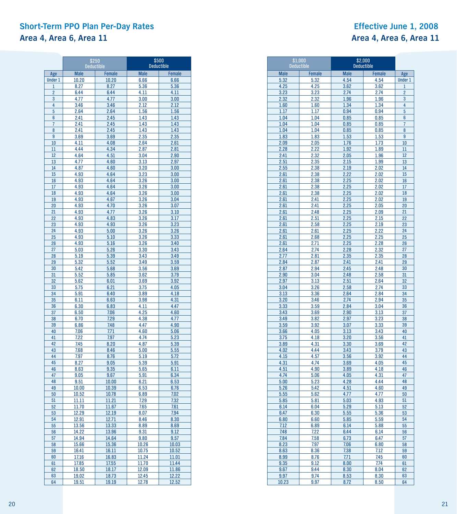### **Short-Term PPO Plan Per-Day Rates Effective June 1, 2008 Area 4, Area 6, Area 11 Area 4, Area 6, Area 11**

 $\overline{a}$ 

|                       | \$250<br><b>Deductible</b> |                        | \$500<br><b>Deductible</b> |                       |
|-----------------------|----------------------------|------------------------|----------------------------|-----------------------|
|                       | <b>Male</b>                |                        | <b>Male</b>                |                       |
| Age<br><b>Under 1</b> | 10.20                      | <b>Female</b><br>10.20 | 6.66                       | <b>Female</b><br>6.66 |
| 1                     | 8.27                       | 8.27                   | 5.36                       | 5.36                  |
| $\overline{2}$        | 6.44                       | 6.44                   | 4.11                       | 4.11                  |
| 3                     | 4.77                       | 4.77                   | 3.00                       | 3.00                  |
| 4                     | 3.46                       | 3.46                   | 2.12                       | 2.12                  |
| 5                     | 2.64                       | 2.64                   | 1.56                       | 1.56                  |
| 6                     | 2.41                       | 2.45                   | 1.43                       | 1.43                  |
| 7                     | 2.41                       | 2.45                   | 1.43                       | 1.43                  |
| 8                     | 2.41                       | 2.45                   | 1.43                       | 1.43                  |
| 9                     | 3.69                       | 3.69                   | 2.35                       | 2.35                  |
| 10                    | 4.11                       | 4.08                   | 2.64                       | 2.61                  |
| 11                    | 4.44                       | 4.34                   | 2.87                       | 2.81                  |
| 12                    | 4.64                       | 4.51                   | 3.04                       | 2.90                  |
| 13                    | 4.77                       | 4.60                   | 3.13                       | 2.97                  |
| 14                    | 4.87                       | 4.60                   | 3.20                       | 3.00                  |
| 15                    | 4.93                       | 4.64                   | 3.23                       | 3.00                  |
| 16<br>17              | 4.93                       | 4.64                   | 3.26                       | 3.00                  |
| 18                    | 4.93<br>4.93               | 4.64<br>4.64           | 3.26<br>3.26               | 3.00<br>3.00          |
| 19                    | 4.93                       | 4.67                   | 3.26                       | 3.04                  |
| 20                    | 4.93                       | 4.70                   | 3.26                       | 3.07                  |
| 21                    | 4.93                       | 4.77                   | 3.26                       | 3.10                  |
| 22                    | 4.93                       | 4.83                   | 3.26                       | 3.17                  |
| 23                    | 4.93                       | 4.93                   | 3.26                       | 3.23                  |
| 24                    | 4.93                       | 5.00                   | 3.26                       | 3.26                  |
| 25                    | 4.93                       | 5.10                   | 3.26                       | 3.33                  |
| 26                    | 4.93                       | 5.16                   | 3.26                       | 3.40                  |
| 27                    | 5.03                       | 5.26                   | 3.30                       | 3.43                  |
| 28                    | 5.19                       | 5.39                   | 3.43                       | 3.49                  |
| 29                    | 5.32                       | 5.52                   | 3.49                       | 3.59                  |
| 30                    | 5.42                       | 5.68                   | 3.56                       | 3.69                  |
| 31                    | 5.52                       | 5.85                   | 3.62                       | 3.79                  |
| 32<br>33              | 5.62<br>5.75               | 6.01<br>6.21           | 3.69                       | 3.92                  |
| 34                    | 5.91                       | 6.40                   | 3.75<br>3.89               | 4.05<br>4.18          |
| 35                    | 6.11                       | 6.63                   | 3.98                       | 4.31                  |
| 36                    | 6.30                       | 6.83                   | 4.11                       | 4.47                  |
| 37                    | 6.50                       | 7.06                   | 4.25                       | 4.60                  |
| 38                    | 6.70                       | 7.29                   | 4.38                       | 4.77                  |
| 39                    | 6.86                       | 7.48                   | 4.47                       | 4.90                  |
| 40                    | 7.06                       | 7.71                   | 4.60                       | 5.06                  |
| 41                    | 7.22                       | 7.97                   | 4.74                       | 5.23                  |
| 42                    | 7.45                       | 8.20                   | 4.87                       | 5.39                  |
| 43                    | 7.68                       | 8.46                   | 5.00                       | 5.55                  |
| 44                    | 7.97                       | 8.76                   | 5.19                       | 5.72                  |
| 45                    | 8.27                       | 9.05                   | 5.39                       | 5.91                  |
| 46                    | 8.63                       | 9.35                   | 5.65                       | 6.11                  |
| 47<br>48              | 9.05<br>9.51               | 9.67<br>10.00          | 5.91<br>6.21               | 6.34<br>6.53          |
| 49                    | 10.00                      | 10.39                  | 6.53                       | 6.76                  |
| 50                    | 10.52                      | 10.78                  | 6.89                       | 7.02                  |
| 51                    | 11.11                      | 11.21                  | 7.29                       | 7.32                  |
| 52                    | 11.70                      | 11.67                  | 7.65                       | 7.61                  |
| 53                    | 12.29                      | 12.19                  | 8.07                       | 7.94                  |
| 54                    | 12.91                      | 12.71                  | 8.46                       | 8.30                  |
| 55                    | 13.56                      | 13.33                  | 8.89                       | 8.69                  |
| 56                    | 14.22                      | 13.96                  | 9.31                       | 9.12                  |
| 57                    | 14.94                      | 14.64                  | 9.80                       | 9.57                  |
| 58                    | 15.66                      | 15.36                  | 10.26                      | 10.03                 |
| 59                    | 16.41                      | 16.11                  | 10.75                      | 10.52                 |
| 60                    | 17.16                      | 16.83                  | 11.24                      | 11.01                 |
| 61                    | 17.85                      | 17.55                  | 11.70                      | 11.44                 |
| 62                    | 18.50                      | 18.17<br>18.73         | 12.09<br>12.45             | 11.86<br>12.22        |
| 63<br>64              | <u> 19.02</u><br>19.51     | 19.19                  | 12.78                      | 12.52                 |
|                       |                            |                        |                            |                       |

| \$1,000<br><b>Deductible</b> |               | \$2,000<br><b>Deductible</b> |              |                |
|------------------------------|---------------|------------------------------|--------------|----------------|
| <b>Male</b>                  | <b>Female</b> | <b>Male</b>                  | Female       | Age            |
| 5.32                         | 5.32          | 4.54                         | 4.54         | <b>Under 1</b> |
| 4.25                         | 4.25          | 3.62                         | 3.62         | $\overline{1}$ |
| 3.23                         | 3.23          | 2.74                         | 2.74         | $\overline{2}$ |
| 2.32                         | 2.32          | 1.96                         | 1.96         | 3              |
| 1.60                         | 1.60          | 1.34                         | 1.34         | 4              |
| 1.17                         | 1.17          | 0.94                         | 0.94         | 5              |
| 1.04                         | 1.04          | 0.85                         | 0.85         | 6              |
| 1.04                         | 1.04          | 0.85                         | 0.85         | $\overline{7}$ |
| 1.04                         | 1.04          | 0.85                         | 0.85         | 8              |
| 1.83                         | 1.83          | 1.53                         | 1.53<br>1.73 | 9<br>10        |
| 2.09<br>2.28                 | 2.05<br>2.22  | 1.76<br>1.92                 | 1.89         | 11             |
| 2.41                         | 2.32          | 2.05                         | 1.96         | 12             |
| 2.51                         | 2.35          | 2.15                         | 1.99         | 13             |
| 2.55                         | 2.38          | 2.19                         | 2.02         | 14             |
| 2.61                         | 2.38          | 2.22                         | 2.02         | 15             |
| 2.61                         | 2.38          | 2.25                         | 2.02         | 16             |
| 2.61                         | 2.38          | 2.25                         | 2.02         | 17             |
| 2.61                         | 2.38          | 2.25                         | 2.02         | 18             |
| 2.61                         | 2.41          | 2.25                         | 2.02         | 19             |
| 2.61                         | 2.41          | 2.25                         | 2.05         | 20             |
| 2.61                         | 2.48          | 2.25                         | 2.09         | 21             |
| 2.61                         | 2.51          | 2.25                         | 2.15         | 22             |
| 2.61                         | 2.58          | 2.25                         | 2.19         | 23             |
| 2.61                         | 2.61          | 2.25                         | 2.22         | 24             |
| 2.61                         | 2.68          | 2.25                         | 2.25         | 25             |
| 2.61                         | 2.71          | 2.25                         | 2.28         | 26             |
| 2.64                         | 2.74          | 2.28                         | 2.32         | 27             |
| 2.77<br>2.84                 | 2.81<br>2.87  | 2.35<br>2.41                 | 2.35<br>2.41 | 28<br>29       |
| 2.87                         | 2.94          | 2.45                         | 2.48         | 30             |
| 2.90                         | 3.04          | 2.48                         | 2.58         | 31             |
| 2.97                         | 3.13          | 2.51                         | 2.64         | 32             |
| 3.04                         | 3.26          | 2.58                         | 2.74         | 33             |
| 3.13                         | 3.36          | 2.64                         | 2.84         | 34             |
| 3.20                         | 3.46          | 2.74                         | 2.94         | 35             |
| 3.33                         | 3.59          | 2.84                         | 3.04         | 36             |
| 3.43                         | 3.69          | 2.90                         | 3.13         | 37             |
| 3.49                         | 3.82          | 2.97                         | 3.23         | 38             |
| 3.59                         | 3.92          | 3.07                         | 3.33         | 39             |
| 3.66                         | 4.05          | 3.13                         | 3.43         | 40             |
| 3.75                         | 4.18          | 3.20                         | 3.56         | 41             |
| 3.89                         | 4.31          | 3.30                         | 3.69         | 42<br>43       |
| 4.02<br>4.15                 | 4.44<br>4.57  | 3.43                         | 3.79         | 44             |
| 4.31                         | 4.74          | 3.56<br>3.69                 | 3.92<br>4.05 | 45             |
| 4.51                         | 4.90          | 3.89                         | 4.18         | 46             |
| 4.74                         | 5.06          | 4.05                         | 4.31         | 47             |
| 5.00                         | 5.23          | 4.28                         | 4.44         | 48             |
| 5.26                         | 5.42          | 4.51                         | 4.60         | 49             |
| 5.55                         | 5.62          | 4.77                         | 4.77         | 50             |
| 5.85                         | 5.81          | 5.03                         | 4.93         | 51             |
| 6.14                         | <b>6.04</b>   | 5.29                         | 5.13         | 52             |
| 6.47                         | 6.30          | 5.55                         | 5.36         | 53             |
| 6.80                         | 6.60          | 5.85                         | 5.59         | 54             |
| 7.12                         | 6.89          | 6.14                         | 5.88         | 55             |
| 7.48                         | 7.22          | 6.44                         | 6.14         | 56             |
| 7.84                         | 7.58          | 6.73                         | 6.47         | 57             |
| 8.23                         | 7.97          | 7.06                         | 6.80         | 58             |
| 8.63<br>8.99                 | 8.36<br>8.76  | 7.38<br>7.71                 | 7.12<br>7.45 | 59<br>60       |
| 9.35                         | 9.12          | 8.00                         | 7.74         | 61             |
| 9.67                         | 9.44          | 8.30                         | 8.04         | 62             |
| 9.97                         | 9.74          | 8.53                         | 8.30         | 63             |
| 10.23                        | 9.97          | 8.72                         | 8.50         | 64             |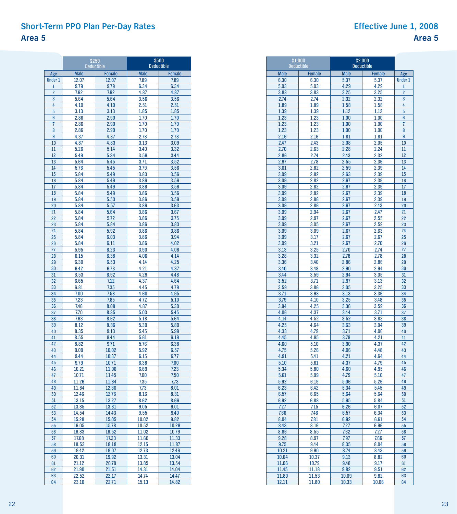## **Short-Term PPO Plan Per-Day Rates Effective June 1, 2008 Area 5**

|                | \$250<br><b>Deductible</b> |                        | \$500<br><b>Deductible</b> |                       |  |  |  |
|----------------|----------------------------|------------------------|----------------------------|-----------------------|--|--|--|
| Age            | <b>Male</b>                |                        | <b>Male</b>                |                       |  |  |  |
| <b>Under 1</b> | 12.07                      | <b>Female</b><br>12.07 | 7.89                       | <b>Female</b><br>7.89 |  |  |  |
| $\mathbf{1}$   | 9.79                       | 9.79                   | 6.34                       | 6.34                  |  |  |  |
| $\overline{2}$ | 7.62                       | 7.62                   | 4.87                       | 4.87                  |  |  |  |
| 3              | 5.64                       | 5.64                   | 3.56                       | 3.56                  |  |  |  |
| 4              | 4.10                       | 4.10                   | 2.51                       | 2.51                  |  |  |  |
| 5              | 3.13                       | 3.13                   | 1.85                       | 1.85                  |  |  |  |
| 6              | 2.86                       | 2.90                   | 1.70                       | 1.70                  |  |  |  |
| $\overline{7}$ | 2.86                       | 2.90                   | 1.70                       | 1.70                  |  |  |  |
| 8              | 2.86                       | 2.90                   | 1.70                       | 1.70                  |  |  |  |
| 9              | 4.37                       | 4.37                   | 2.78                       | 2.78                  |  |  |  |
| 10             | 4.87                       | 4.83                   | 3.13                       | 3.09                  |  |  |  |
| 11             | 5.26                       | 5.14                   | 3.40                       | 3.32                  |  |  |  |
| 12<br>13       | 5.49<br>5.64               | 5.34                   | 3.59<br>3.71               | 3.44<br>3.52          |  |  |  |
| 14             | 5.76                       | 5.45<br>5.45           | 3.79                       | 3.56                  |  |  |  |
| 15             | 5.84                       | 5.49                   | 3.83                       | 3.56                  |  |  |  |
| 16             | 5.84                       | 5.49                   | 3.86                       | 3.56                  |  |  |  |
| 17             | 5.84                       | 5.49                   | 3.86                       | 3.56                  |  |  |  |
| 18             | 5.84                       | 5.49                   | 3.86                       | 3.56                  |  |  |  |
| 19             | 5.84                       | 5.53                   | 3.86                       | 3.59                  |  |  |  |
| 20             | 5.84                       | 5.57                   | 3.86                       | 3.63                  |  |  |  |
| 21             | 5.84                       | 5.64                   | 3.86                       | 3.67                  |  |  |  |
| 22             | 5.84                       | 5.72                   | 3.86                       | 3.75                  |  |  |  |
| 23             | 5.84                       | 5.84                   | 3.86                       | 3.83                  |  |  |  |
| 24             | 5.84                       | 5.92                   | 3.86                       | 3.86                  |  |  |  |
| 25             | 5.84                       | 6.03                   | 3.86                       | 3.94                  |  |  |  |
| 26             | 5.84                       | 6.11                   | 3.86                       | 4.02                  |  |  |  |
| 27             | 5.95                       | 6.23                   | 3.90                       | 4.06                  |  |  |  |
| 28<br>29       | 6.15<br>6.30               | 6.38<br>6.53           | 4.06<br>4.14               | 4.14<br>4.25          |  |  |  |
| 30             | 6.42                       | 6.73                   | 4.21                       | 4.37                  |  |  |  |
| 31             | 6.53                       | 6.92                   | 4.29                       | 4.48                  |  |  |  |
| 32             | 6.65                       | 7.12                   | 4.37                       | 4.64                  |  |  |  |
| 33             | 6.81                       | 7.35                   | 4.45                       | 4.79                  |  |  |  |
| 34             | 7.00                       | 7.58                   | 4.60                       | 4.95                  |  |  |  |
| 35             | 7.23                       | 7.85                   | 4.72                       | 5.10                  |  |  |  |
| 36             | 7.46                       | 8.08                   | 4.87                       | 5.30                  |  |  |  |
| 37             | 7.70                       | 8.35                   | 5.03                       | 5.45                  |  |  |  |
| 38             | 7.93                       | 8.62                   | 5.18                       | 5.64                  |  |  |  |
| 39             | 8.12                       | 8.86                   | 5.30                       | 5.80                  |  |  |  |
| 40             | 8.35                       | 9.13                   | 5.45                       | 5.99                  |  |  |  |
| 41<br>42       | 8.55                       | 9.44                   | 5.61                       | 6.19                  |  |  |  |
| 43             | 8.82                       | 9.71<br>10.02          | 5.76                       | 6.38                  |  |  |  |
| 44             | 9.09<br>9.44               | 10.37                  | 5.92<br>6.15               | 6.57<br>6.77          |  |  |  |
| 45             | 9.79                       | 10.71                  | 6.38                       | 7.00                  |  |  |  |
| 46             | 10.21                      | 11.06                  | 6.69                       | 7.23                  |  |  |  |
| 47             | 10.71                      | 11.45                  | 7.00                       | 7.50                  |  |  |  |
| 48             | 11.26                      | 11.84                  | 7.35                       | 7.73                  |  |  |  |
| 49             | 11.84                      | 12.30                  | 7.73                       | 8.01                  |  |  |  |
| 50             | 12.46                      | 12.76                  | 8.16                       | 8.31                  |  |  |  |
| 51             | 13.15                      | 13.27                  | 8.62                       | 8.66                  |  |  |  |
| 52             | 13.85                      | 13.81                  | 9.05                       | 9.01                  |  |  |  |
| 53             | 14.54                      | 14.43                  | 9.55                       | 9.40                  |  |  |  |
| 54             | 15.28                      | 15.05                  | 10.02                      | 9.82                  |  |  |  |
| 55             | 16.05                      | 15.78                  | 10.52<br>11.02             | 10.29                 |  |  |  |
| 56<br>57       | 16.83<br>17.68             | 16.52<br>17.33         | 11.60                      | 10.79<br>11.33        |  |  |  |
| 58             | 18.53                      | 18.18                  | 12.15                      | 11.87                 |  |  |  |
| 59             | 19.42                      | 19.07                  | 12.73                      | 12.46                 |  |  |  |
| 60             | 20.31                      | 19.92                  | 13.31                      | 13.04                 |  |  |  |
| 61             | 21.12                      | 20.78                  | 13.85                      | 13.54                 |  |  |  |
| 62             | 21.90                      | 21.51                  | 14.31                      | 14.04                 |  |  |  |
| 63             | 22.52                      | 22.17                  | 14.74                      | 14.47                 |  |  |  |
| 64             | 23.10                      | 22.71                  | 15.13                      | 14.82                 |  |  |  |

| \$1.000        | <b>Deductible</b> | \$2,000<br><b>Deductible</b> |              |                     |  |
|----------------|-------------------|------------------------------|--------------|---------------------|--|
| <b>Male</b>    | <b>Female</b>     | <b>Male</b>                  | Female       | Age                 |  |
| 6.30           | 6.30              | 5.37                         | 5.37         | <b>Under 1</b>      |  |
| 5.03           | 5.03              | 4.29                         | 4.29         | $\mathbf{1}$        |  |
| 3.83           | 3.83              | 3.25                         | 3.25         | $\overline{2}$      |  |
| 2.74           | 2.74              | 2.32                         | 2.32         | 3                   |  |
| 1.89           | 1.89              | 1.58                         | 1.58         | 4                   |  |
| 1.39           | 1.39              | 1.12                         | 1.12         | 5                   |  |
| 1.23<br>1.23   | 1.23<br>1.23      | 1.00<br>1.00                 | 1.00<br>1.00 | 6<br>$\overline{7}$ |  |
| 1.23           | 1.23              | 1.00                         | 1.00         | 8                   |  |
| 2.16           | 2.16              | 1.81                         | 1.81         | 9                   |  |
| 2.47           | 2.43              | 2.08                         | 2.05         | 10                  |  |
| 2.70           | 2.63              | 2.28                         | 2.24         | 11                  |  |
| 2.86           | 2.74              | 2.43                         | 2.32         | 12                  |  |
| 2.97           | 2.78              | 2.55                         | 2.36         | 13                  |  |
| 3.01           | 2.82              | 2.59                         | 2.39         | 14                  |  |
| 3.09           | 2.82              | 2.63                         | 2.39         | 15                  |  |
| 3.09           | 2.82              | 2.67                         | 2.39         | 16                  |  |
| 3.09           | 2.82              | 2.67                         | 2.39         | 17                  |  |
| 3.09           | 2.82              | 2.67                         | 2.39         | 18                  |  |
| 3.09<br>3.09   | 2.86<br>2.86      | 2.67<br>2.67                 | 2.39<br>2.43 | 19<br>20            |  |
| 3.09           | 2.94              | 2.67                         | 2.47         | 21                  |  |
| 3.09           | 2.97              | 2.67                         | 2.55         | 22                  |  |
| 3.09           | 3.05              | 2.67                         | 2.59         | 23                  |  |
| 3.09           | 3.09              | 2.67                         | 2.63         | 24                  |  |
| 3.09           | 3.17              | 2.67                         | 2.67         | 25                  |  |
| 3.09           | 3.21              | 2.67                         | 2.70         | 26                  |  |
| 3.13           | 3.25              | 2.70                         | 2.74         | 27                  |  |
| 3.28           | 3.32              | 2.78                         | 2.78         | 28                  |  |
| 3.36           | 3.40              | 2.86                         | 2.86         | 29                  |  |
| 3.40           | 3.48              | 2.90                         | 2.94         | 30                  |  |
| 3.44           | 3.59              | 2.94                         | 3.05         | 31                  |  |
| 3.52           | 3.71              | 2.97                         | 3.13         | 32                  |  |
| 3.59<br>3.71   | 3.86<br>3.98      | 3.05<br>3.13                 | 3.25<br>3.36 | 33<br>34            |  |
| 3.79           | 4.10              | 3.25                         | 3.48         | 35                  |  |
| 3.94           | 4.25              | 3.36                         | 3.59         | 36                  |  |
| 4.06           | 4.37              | 3.44                         | 3.71         | 37                  |  |
| 4.14           | 4.52              | 3.52                         | 3.83         | 38                  |  |
| 4.25           | 4.64              | 3.63                         | 3.94         | 39                  |  |
| 4.33           | 4.79              | 3.71                         | 4.06         | 40                  |  |
| 4.45           | 4.95              | 3.79                         | 4.21         | 41                  |  |
| 4.60           | 5.10              | 3.90                         | 4.37         | 42                  |  |
| 4.75           | 5.26              | 4.06                         | 4.48         | 43                  |  |
| 4.91           | 5.41              | 4.21                         | 4.64         | 44                  |  |
| 5.10           | 5.61              | 4.37                         | 4.79         | 45                  |  |
| 5.34<br>5.61   | 5.80<br>5.99      | 4.60<br>4.79                 | 4.95<br>5.10 | 46<br>47            |  |
| 5.92           | 6.19              | 5.06                         | 5.26         | 48                  |  |
| 6.23           | 6.42              | 5.34                         | 5.45         | 49                  |  |
| 6.57           | 6.65              | 5.64                         | 5.64         | 50                  |  |
| 6.92           | 6.88              | 5.95                         | 5.84         | 51                  |  |
| 7.27           | 7.15              | 6.26                         | 6.07         | 52                  |  |
| 7.66           | 7.46              | 6.57                         | 6.34         | 53                  |  |
| 8.04           | 7.81              | 6.92                         | 6.61         | 54                  |  |
| 8.43           | 8.16              | 7.27                         | 6.96         | 55                  |  |
| 8.86           | 8.55              | 7.62                         | 7.27         | 56                  |  |
| 9.28           | 8.97              | 7.97                         | 7.66         | 57                  |  |
| 9.75           | 9.44              | 8.35                         | 8.04         | 58                  |  |
| 10.21          | 9.90              | 8.74                         | 8.43         | 59                  |  |
| 10.64          | 10.37             | 9.13                         | 8.82         | 60                  |  |
| 11.06<br>11.45 | 10.79<br>11.18    | 9.48<br>9.82                 | 9.17<br>9.51 | 61<br>62            |  |
| 11.80          | 11.53             | 10.09                        | 9.82         | 63                  |  |
| 12.11          | 11.80             | 10.33                        | 10.06        | 64                  |  |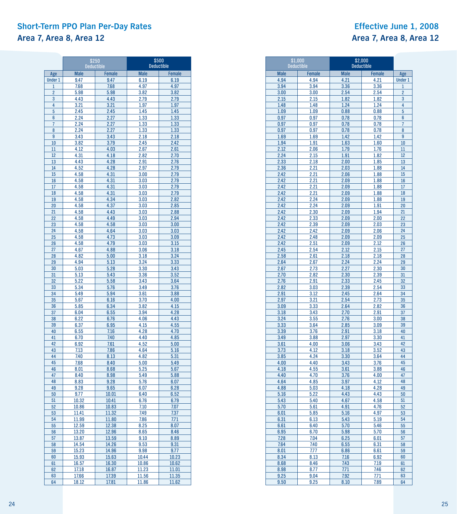### **Short-Term PPO Plan Per-Day Rates Effective June 1, 2008 Area 7, Area 8, Area 12 Area 7, Area 8, Area 12**

|                | \$250<br><b>Deductible</b> |                | \$500<br><b>Deductible</b> |               |  |  |  |
|----------------|----------------------------|----------------|----------------------------|---------------|--|--|--|
| Age            | <b>Male</b>                | <b>Female</b>  | <b>Male</b>                | <b>Female</b> |  |  |  |
| <b>Under 1</b> | 9.47                       | 9.47           | 6.19                       | 6.19          |  |  |  |
| $\mathbf{1}$   | 7.68                       | 7.68           | 4.97                       | 4.97          |  |  |  |
| $\overline{2}$ | 5.98                       | 5.98           | 3.82                       | 3.82          |  |  |  |
| 3              | 4.43                       | 4.43           | 2.79                       | 2.79          |  |  |  |
| 4              | 3.21                       | 3.21           | 1.97                       | 1.97          |  |  |  |
| 5              | 2.45                       | 2.45           | 1.45                       | 1.45          |  |  |  |
| 6              | 2.24                       | 2.27           | 1.33                       | 1.33          |  |  |  |
| 7              | 2.24                       | 2.27           | 1.33                       | 1.33          |  |  |  |
| 8              | 2.24                       | 2.27           | 1.33                       | 1.33          |  |  |  |
| 9              | 3.43                       | 3.43           | 2.18                       | 2.18          |  |  |  |
| 10             | 3.82                       | 3.79           | 2.45                       | 2.42          |  |  |  |
| 11             | 4.12                       | 4.03           | 2.67<br>2.82               | 2.61<br>2.70  |  |  |  |
| 12<br>13       | 4.31<br>4.43               | 4.18<br>4.28   | 2.91                       | 2.76          |  |  |  |
| 14             | 4.52                       | 4.28           | 2.97                       | 2.79          |  |  |  |
| 15             | 4.58                       | 4.31           | 3.00                       | 2.79          |  |  |  |
| 16             | 4.58                       | 4.31           | 3.03                       | 2.79          |  |  |  |
| 17             | 4.58                       | 4.31           | 3.03                       | 2.79          |  |  |  |
| 18             | 4.58                       | 4.31           | 3.03                       | 2.79          |  |  |  |
| 19             | 4.58                       | 4.34           | 3.03                       | 2.82          |  |  |  |
| 20             | 4.58                       | 4.37           | 3.03                       | 2.85          |  |  |  |
| 21             | 4.58                       | 4.43           | 3.03                       | 2.88          |  |  |  |
| 22             | 4.58                       | 4.49           | 3.03                       | 2.94          |  |  |  |
| 23             | 4.58                       | 4.58           | 3.03                       | 3.00          |  |  |  |
| 24             | 4.58                       | 4.64           | 3.03                       | 3.03          |  |  |  |
| 25             | 4.58                       | 4.73           | 3.03                       | 3.09          |  |  |  |
| 26             | 4.58                       | 4.79           | 3.03                       | 3.15          |  |  |  |
| 27             | 4.67                       | 4.88           | 3.06                       | 3.18          |  |  |  |
| 28             | 4.82                       | 5.00<br>5.13   | 3.18<br>3.24               | 3.24          |  |  |  |
| 29<br>30       | 4.94<br>5.03               | 5.28           | 3.30                       | 3.33<br>3.43  |  |  |  |
| 31             | 5.13                       | 5.43           | 3.36                       | 3.52          |  |  |  |
| 32             | 5.22                       | 5.58           | 3.43                       | 3.64          |  |  |  |
| 33             | 5.34                       | 5.76           | 3.49                       | 3.76          |  |  |  |
| 34             | 5.49                       | 5.94           | 3.61                       | 3.88          |  |  |  |
| 35             | 5.67                       | 6.16           | 3.70                       | 4.00          |  |  |  |
| 36             | 5.85                       | 6.34           | 3.82                       | 4.15          |  |  |  |
| 37             | 6.04                       | 6.55           | 3.94                       | 4.28          |  |  |  |
| 38             | 6.22                       | 6.76           | 4.06                       | 4.43          |  |  |  |
| 39             | 6.37                       | 6.95           | 4.15                       | 4.55          |  |  |  |
| 40             | 6.55                       | 7.16           | 4.28                       | 4.70          |  |  |  |
| 41             | 6.70                       | 7.40           | 4.40                       | 4.85          |  |  |  |
| 42<br>43       | 6.92                       | 7.61           | 4.52                       | 5.00          |  |  |  |
| 44             | 7.13<br>7.40               | 7.86<br>8.13   | 4.64<br>4.82               | 5.16<br>5.31  |  |  |  |
| 45             | 7.68                       | 8.40           | 5.00                       | 5.49          |  |  |  |
| 46             | 8.01                       | 8.68           | 5.25                       | 5.67          |  |  |  |
| 47             | 8.40                       | 8.98           | 5.49                       | 5.88          |  |  |  |
| 48             | 8.83                       | 9.28           | 5.76                       | 6.07          |  |  |  |
| 49             | 9.28                       | 9.65           | 6.07                       | 6.28          |  |  |  |
| 50             | 9.77                       | 10.01          | 6.40                       | 6.52          |  |  |  |
| 51             | 10.32                      | 10.41          | 6.76                       | 6.79          |  |  |  |
| 52             | 10.86                      | 10.83          | 7.10                       | 7.07          |  |  |  |
| 53             | 11.41                      | 11.32          | 7.49                       | 7.37          |  |  |  |
| 54             | 11.99                      | 11.80          | 7.86                       | 7.71          |  |  |  |
| 55             | 12.59                      | 12.38          | 8.25                       | 8.07          |  |  |  |
| 56<br>57       | 13.20                      | 12.96<br>13.59 | 8.65<br>9.10               | 8.46<br>8.89  |  |  |  |
| 58             | 13.87<br>14.54             | 14.26          | 9.53                       | 9.31          |  |  |  |
| 59             | 15.23                      | 14.96          | 9.98                       | 9.77          |  |  |  |
| 60             | 15.93                      | 15.63          | 10.44                      | 10.23         |  |  |  |
| 61             | 16.57                      | 16.30          | 10.86                      | 10.62         |  |  |  |
| 62             | 17.18                      | 16.87          | 11.23                      | 11.01         |  |  |  |
| 63             | 17.66                      | 17.39          | 11.56                      | 11.35         |  |  |  |
| 64             | 18.12                      | 17.81          | 11.86                      | 11.62         |  |  |  |

|              | \$1,000<br><b>Deductible</b> | \$2,000<br><b>Deductible</b> |              |                |
|--------------|------------------------------|------------------------------|--------------|----------------|
| <b>Male</b>  | Female                       | <b>Male</b>                  | Female       | Age            |
| 4.94         | 4.94                         | 4.21                         | 4.21         | <b>Under 1</b> |
| 3.94         | 3.94                         | 3.36                         | 3.36         | $\overline{1}$ |
| 3.00         | 3.00                         | 2.54                         | 2.54         | $\overline{2}$ |
| 2.15         | 2.15                         | 1.82                         | 1.82         | 3              |
| 1.48         | 1.48                         | 1.24                         | 1.24         | 4              |
| 1.09         | 1.09                         | 0.88                         | 0.88         | 5              |
| 0.97         | 0.97                         | 0.78                         | 0.78         | 6              |
| 0.97         | 0.97                         | 0.78                         | 0.78         | 7              |
| 0.97         | 0.97                         | 0.78                         | 0.78         | 8              |
| 1.69         | 1.69                         | 1.42                         | 1.42         | 9              |
| 1.94         | 1.91                         | 1.63                         | 1.60         | 10             |
| 2.12         | 2.06                         | 1.79                         | 1.76         | 11             |
| 2.24         | 2.15                         | 1.91                         | 1.82         | 12             |
| 2.33         | 2.18                         | 2.00                         | 1.85         | 13             |
| 2.36         | 2.21                         | 2.03                         | 1.88         | 14             |
| 2.42         | 2.21                         | 2.06                         | 1.88         | 15             |
| 2.42<br>2.42 | 2.21                         | 2.09<br>2.09                 | 1.88         | 16<br>17       |
| 2.42         | 2.21<br>2.21                 | 2.09                         | 1.88<br>1.88 | 18             |
| 2.42         | 2.24                         | 2.09                         | 1.88         | 19             |
| 2.42         | 2.24                         | 2.09                         | 1.91         | 20             |
| 2.42         | 2.30                         | 2.09                         | 1.94         | 21             |
| 2.42         | 2.33                         | 2.09                         | 2.00         | 22             |
| 2.42         | 2.39                         | 2.09                         | 2.03         | 23             |
| 2.42         | 2.42                         | 2.09                         | 2.06         | 24             |
| 2.42         | 2.48                         | 2.09                         | 2.09         | 25             |
| 2.42         | 2.51                         | 2.09                         | 2.12         | 26             |
| 2.45         | 2.54                         | 2.12                         | 2.15         | 27             |
| 2.58         | 2.61                         | 2.18                         | 2.18         | 28             |
| 2.64         | 2.67                         | 2.24                         | 2.24         | 29             |
| 2.67         | 2.73                         | 2.27                         | 2.30         | 30             |
| 2.70         | 2.82                         | 2.30                         | 2.39         | 31             |
| 2.76         | 2.91                         | 2.33                         | 2.45         | 32             |
| 2.82         | 3.03                         | 2.39                         | 2.54         | 33             |
| 2.91         | 3.12                         | 2.45                         | 2.64         | 34             |
| 2.97         | 3.21                         | 2.54                         | 2.73         | 35             |
| 3.09         | 3.33                         | 2.64                         | 2.82         | 36             |
| 3.18         | 3.43                         | 2.70                         | 2.91         | 37             |
| 3.24         | 3.55                         | 2.76                         | 3.00         | 38             |
| 3.33         | 3.64                         | 2.85                         | 3.09         | 39             |
| 3.39         | 3.76                         | 2.91                         | 3.18         | 40             |
| 3.49         | 3.88                         | 2.97                         | 3.30         | 41<br>42       |
| 3.61<br>3.73 | 4.00<br>4.12                 | 3.06<br>3.18                 | 3.43         | 43             |
| 3.85         | 4.24                         | 3.30                         | 3.52         | 44             |
| 4.00         | 4.40                         | 3.43                         | 3.64<br>3.76 | 45             |
| 4.18         | 4.55                         | 3.61                         | 3.88         | 46             |
| 4.40         | 4.70                         | 3.76                         | 4.00         | 47             |
| 4.64         | 4.85                         | 3.97                         | 4.12         | 48             |
| 4.88         | 5.03                         | 4.18                         | 4.28         | 49             |
| 5.16         | 5.22                         | 4.43                         | 4.43         | 50             |
| 5.43         | 5.40                         | 4.67                         | 4.58         | 51             |
| 5.70         | 5.61                         | 4.91                         | 4.76         | 52             |
| 6.01         | 5.85                         | 5.16                         | 4.97         | 53             |
| 6.31         | 6.13                         | 5.43                         | 5.19         | 54             |
| 6.61         | 6.40                         | 5.70                         | 5.46         | 55             |
| 6.95         | 6.70                         | 5.98                         | 5.70         | 56             |
| 7.28         | 7.04                         | 6.25                         | 6.01         | 57             |
| 7.64         | 7.40                         | 6.55                         | 6.31         | 58             |
| 8.01         | 7.77                         | 6.86                         | 6.61         | 59             |
| 8.34         | 8.13                         | 7.16                         | 6.92         | 60             |
| 8.68         | 8.46                         | 7.43                         | 7.19         | 61             |
| 8.98         | 8.77                         | 7.71                         | 7.46         | 62             |
| 9.25         | 9.04                         | 7.92                         | 7.71         | 63             |
| 9.50         | 9.25                         | 8.10                         | 7.89         | 64             |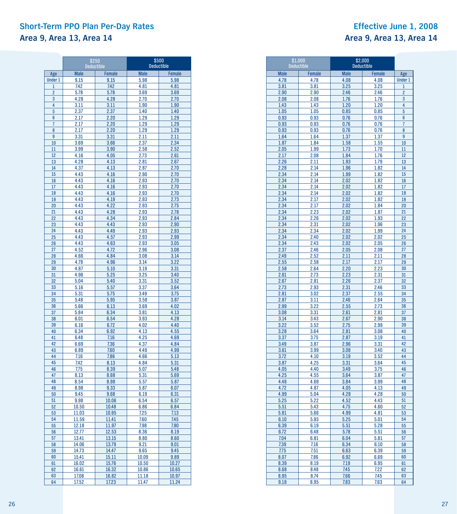### **Short-Term PPO Plan Per-Day Rates Effective June 1, 2008 Area 9, Area 13, Area 14 Area 9, Area 13, Area 14**

|                 | \$250<br><b>Deductible</b> |                | \$500<br><b>Deductible</b> |               |  |  |
|-----------------|----------------------------|----------------|----------------------------|---------------|--|--|
| Age             | <b>Male</b>                | Female         | <b>Male</b>                | <b>Female</b> |  |  |
| <b>Under 1</b>  | 9.15                       | 9.15           | 5.98                       | 5.98          |  |  |
| $\mathbf{1}$    | 7.42                       | 7.42           | 4.81                       | 4.81          |  |  |
| $\overline{2}$  | 5.78                       | 5.78           | 3.69                       | 3.69          |  |  |
| 3               | 4.28                       | 4.28           | 2.70                       | 2.70          |  |  |
| 4               | 3.11                       | 3.11           | 1.90                       | 1.90          |  |  |
| 5               | 2.37                       | 2.37           | 1.40                       | 1.40          |  |  |
| 6               | 2.17                       | 2.20           | 1.29                       | 1.29          |  |  |
| 7               | 2.17                       | 2.20           | 1.29                       | 1.29          |  |  |
| 8               | 2.17                       | 2.20           | 1.29                       | 1.29          |  |  |
| 9               | 3.31                       | 3.31           | 2.11                       | 2.11          |  |  |
| 10              | 3.69                       | 3.66           | 2.37                       | 2.34          |  |  |
| $\overline{11}$ | 3.99                       | 3.90           | 2.58                       | 2.52          |  |  |
| 12              | 4.16<br>4.28               | 4.05           | 2.73                       | 2.61<br>2.67  |  |  |
| 13<br>14        | 4.37                       | 4.13<br>4.13   | 2.81<br>2.87               | 2.70          |  |  |
| 15              | 4.43                       | 4.16           | 2.90                       | 2.70          |  |  |
| 16              | 4.43                       | 4.16           | 2.93                       | 2.70          |  |  |
| 17              | 4.43                       | 4.16           | 2.93                       | 2.70          |  |  |
| 18              | 4.43                       | 4.16           | 2.93                       | 2.70          |  |  |
| 19              | 4.43                       | 4.19           | 2.93                       | 2.73          |  |  |
| 20              | 4.43                       | 4.22           | 2.93                       | 2.75          |  |  |
| 21              | 4.43                       | 4.28           | 2.93                       | 2.78          |  |  |
| 22              | 4.43                       | 4.34           | 2.93                       | 2.84          |  |  |
| 23              | 4.43                       | 4.43           | 2.93                       | 2.90          |  |  |
| 24              | 4.43                       | 4.49           | 2.93                       | 2.93          |  |  |
| 25              | 4.43                       | 4.57           | 2.93                       | 2.99          |  |  |
| 26              | 4.43                       | 4.63           | 2.93                       | 3.05          |  |  |
| 27              | 4.52                       | 4.72           | 2.96                       | 3.08          |  |  |
| 28              | 4.66                       | 4.84           | 3.08<br>3.14               | 3.14          |  |  |
| 29<br>30        | 4.78<br>4.87               | 4.96<br>5.10   | 3.19                       | 3.22<br>3.31  |  |  |
| 31              | 4.96                       | 5.25           | 3.25                       | 3.40          |  |  |
| 32              | 5.04                       | 5.40           | 3.31                       | 3.52          |  |  |
| 33              | 5.16                       | 5.57           | 3.37                       | 3.64          |  |  |
| 34              | 5.31                       | 5.75           | 3.49                       | 3.75          |  |  |
| 35              | 5.48                       | 5.95           | 3.58                       | 3.87          |  |  |
| 36              | 5.66                       | 6.13           | 3.69                       | 4.02          |  |  |
| 37              | 5.84                       | 6.34           | 3.81                       | 4.13          |  |  |
| 38              | 6.01                       | 6.54           | 3.93                       | 4.28          |  |  |
| 39              | 6.16                       | 6.72           | 4.02                       | 4.40          |  |  |
| 40              | 6.34                       | 6.92           | 4.13                       | 4.55          |  |  |
| 41              | 6.48                       | 7.16           | 4.25                       | 4.69          |  |  |
| 42              | 6.69                       | 7.36           | 4.37                       | 4.84          |  |  |
| 43<br>44        | 6.89                       | 7.60           | 4.49                       | 4.99          |  |  |
| 45              | 7.16<br>7.42               | 7.86<br>8.13   | 4.66<br>4.84               | 5.13<br>5.31  |  |  |
| 46              | 7.75                       | 8.39           | 5.07                       | 5.48          |  |  |
| 47              | 8.13                       | 8.68           | 5.31                       | 5.69          |  |  |
| 48              | 8.54                       | 8.98           | 5.57                       | 5.87          |  |  |
| 49              | 8.98                       | 9.33           | 5.87                       | 6.07          |  |  |
| 50              | 9.45                       | 9.68           | 6.19                       | 6.31          |  |  |
| 51              | 9.98                       | 10.06          | 6.54                       | 6.57          |  |  |
| 52              | 10.50                      | 10.48          | 6.86                       | 6.84          |  |  |
| 53              | 11.03                      | 10.95          | 7.25                       | 7.13          |  |  |
| 54              | 11.59                      | 11.41          | 7.60                       | 7.45          |  |  |
| 55              | 12.18                      | 11.97          | 7.98                       | 7.80          |  |  |
| 56              | 12.77                      | 12.53          | 8.36                       | 8.19          |  |  |
| 57              | 13.41                      | 13.15          | 8.80                       | 8.60          |  |  |
| 58<br>59        | 14.06                      | 13.79          | 9.21                       | 9.01          |  |  |
| 60              | 14.73<br>15.41             | 14.47<br>15.11 | 9.65<br>10.09              | 9.45          |  |  |
| 61              | 16.02                      | 15.76          | 10.50                      | 9.89<br>10.27 |  |  |
| 62              | 16.61                      | 16.32          | 10.86                      | 10.65         |  |  |
| 63              | 17.08                      | 16.82          | 11.18                      | 10.97         |  |  |
| 64              | 17.52                      | 17.23          | 11.47                      | 11.24         |  |  |

|              | \$1,000<br><b>Deductible</b> | \$2,000<br><b>Deductible</b> |              |                |
|--------------|------------------------------|------------------------------|--------------|----------------|
| <b>Male</b>  | Female                       | <b>Male</b>                  | Female       | Age            |
| 4.78         | 4.78                         | 4.08                         | 4.08         | <b>Under 1</b> |
| 3.81         | 3.81                         | 3.25                         | 3.25         | $\overline{1}$ |
| 2.90         | 2.90                         | 2.46                         | 2.46         | $\overline{2}$ |
| 2.08         | 2.08                         | 1.76                         | 1.76         | 3              |
| 1.43         | 1.43                         | 1.20                         | 1.20         | 4              |
| 1.05         | 1.05                         | 0.85                         | 0.85         | 5              |
| 0.93         | 0.93                         | 0.76                         | 0.76         | 6              |
| 0.93         | 0.93                         | 0.76                         | 0.76         | $\overline{7}$ |
| 0.93         | 0.93                         | 0.76                         | 0.76         | 8              |
| 1.64         | 1.64                         | 1.37                         | 1.37         | 9              |
| 1.87         | 1.84                         | 1.58                         | 1.55         | 10<br>11       |
| 2.05<br>2.17 | 1.99<br>2.08                 | 1.73<br>1.84                 | 1.70<br>1.76 | 12             |
| 2.26         | 2.11                         | 1.93                         | 1.79         | 13             |
| 2.28         | 2.14                         | 1.96                         | 1.82         | 14             |
| 2.34         | 2.14                         | 1.99                         | 1.82         | 15             |
| 2.34         | 2.14                         | 2.02                         | 1.82         | 16             |
| 2.34         | 2.14                         | 2.02                         | 1.82         | 17             |
| 2.34         | 2.14                         | 2.02                         | 1.82         | 18             |
| 2.34         | 2.17                         | 2.02                         | 1.82         | 19             |
| 2.34         | 2.17                         | 2.02                         | 1.84         | 20             |
| 2.34         | 2.23                         | 2.02                         | 1.87         | 21             |
| 2.34         | 2.26                         | 2.02                         | 1.93         | 22             |
| 2.34         | 2.31                         | 2.02                         | 1.96         | 23             |
| 2.34         | 2.34                         | 2.02                         | 1.99         | 24             |
| 2.34<br>2.34 | 2.40<br>2.43                 | 2.02<br>2.02                 | 2.02<br>2.05 | 25<br>26       |
| 2.37         | 2.46                         | 2.05                         | 2.08         | 27             |
| 2.49         | 2.52                         | 2.11                         | 2.11         | 28             |
| 2.55         | 2.58                         | 2.17                         | 2.17         | 29             |
| 2.58         | 2.64                         | 2.20                         | 2.23         | 30             |
| 2.61         | 2.73                         | 2.23                         | 2.31         | 31             |
| 2.67         | 2.81                         | 2.26                         | 2.37         | 32             |
| 2.73         | 2.93                         | 2.31                         | 2.46         | 33             |
| 2.81         | 3.02                         | 2.37                         | 2.55         | 34             |
| 2.87         | 3.11                         | 2.46                         | 2.64         | 35             |
| 2.99         | 3.22                         | 2.55                         | 2.73         | 36             |
| 3.08         | 3.31                         | 2.61                         | 2.81         | 37             |
| 3.14         | 3.43                         | 2.67                         | 2.90<br>2.99 | 38             |
| 3.22<br>3.28 | 3.52<br>3.64                 | 2.75<br>2.81                 | 3.08         | 39<br>40       |
| 3.37         | 3.75                         | 2.87                         | 3.19         | 41             |
| 3.49         | 3.87                         | 2.96                         | 3.31         | 42             |
| 3.61         | 3.99                         | 3.08                         | 3.40         | 43             |
| 3.72         | 4.10                         | 3.19                         | 3.52         | 44             |
| 3.87         | 4.25                         | 3.31                         | 3.64         | 45             |
| 4.05         | 4.40                         | 3.49                         | 3.75         | 46             |
| 4.25         | 4.55                         | 3.64                         | 3.87         | 47             |
| 4.49         | 4.69                         | 3.84                         | 3.99         | 48             |
| 4.72         | 4.87                         | 4.05                         | 4.13         | 49             |
| 4.99         | 5.04                         | 4.28                         | 4.28         | 50             |
| 5.25         | 5.22                         | 4.52                         | 4.43<br>4.60 | 51<br>52       |
| 5.51<br>5.81 | 5.43<br>5.66                 | 4.75<br>4.99                 | 4.81         | 53             |
| 6.10         | 5.93                         | 5.25                         | 5.01         | 54             |
| 6.39         | 6.19                         | 5.51                         | 5.28         | 55             |
| 6.72         | 6.48                         | 5.78                         | 5.51         | 56             |
| 7.04         | 6.81                         | 6.04                         | 5.81         | 57             |
| 7.39         | 7.16                         | 6.34                         | 6.10         | 58             |
| 7.75         | 7.51                         | 6.63                         | 6.39         | 59             |
| 8.07         | 7.86                         | 6.92                         | 6.69         | 60             |
| 8.39         | 8.19                         | 7.19                         | 6.95         | 61             |
| 8.68         | 8.48                         | 7.45                         | 7.22         | 62             |
| 8.95         | 8.74                         | 7.66                         | 7.45         | 63             |
| 9.18         | 8.95                         | 7.83                         | 7.63         | 64             |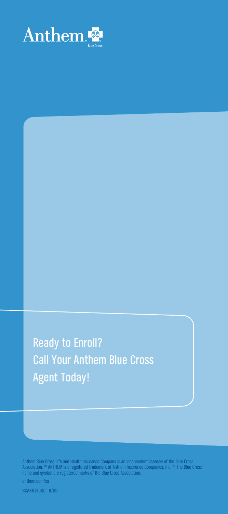

Ready to Enroll? Call Your Anthem Blue Cross Agent Today!

Anthem Blue Cross Life and Health Insurance Company is an independent licensee of the Blue Cross<br>Association. ® ANTHEM is a registered trademark of Anthem Insurance Companies, Inc. ® The Blue Cross<br>name and symbol are regi

anthem.com/ca

BCABR1450C 6/09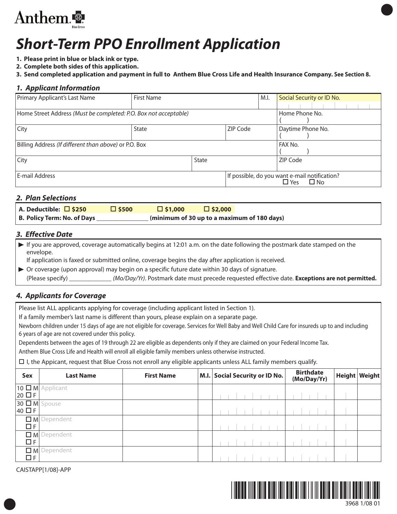

# *Short-Term PPO Enrollment Application*

- **1. Please print in blue or black ink or type.**
- **2. Complete both sides of this application.**
- 3. Send completed application and payment in full to Anthem Blue Cross Life and Health Insurance Company. See Section 8.

### *1. Applicant Information*

| Primary Applicant's Last Name                                    | First Name |                               |                                               | M.I.           | Social Security or ID No. |           |  |  |  |  |  |
|------------------------------------------------------------------|------------|-------------------------------|-----------------------------------------------|----------------|---------------------------|-----------|--|--|--|--|--|
|                                                                  |            |                               |                                               |                |                           |           |  |  |  |  |  |
| Home Street Address (Must be completed: P.O. Box not acceptable) |            |                               |                                               | Home Phone No. |                           |           |  |  |  |  |  |
| City                                                             | State      | Daytime Phone No.<br>ZIP Code |                                               |                |                           |           |  |  |  |  |  |
| Billing Address (If different than above) or P.O. Box            |            |                               |                                               | FAX No.        |                           |           |  |  |  |  |  |
| City                                                             | State      |                               |                                               | ZIP Code       |                           |           |  |  |  |  |  |
| E-mail Address                                                   |            |                               | If possible, do you want e-mail notification? |                | $\Box$ Yes                | $\Box$ No |  |  |  |  |  |

### *2. Plan Selections*

| A. Deductible: $\Box$ \$250 | $\Box$ \$500 | $\Box$ \$1,000 | $\Box$ \$2,000                              |  |
|-----------------------------|--------------|----------------|---------------------------------------------|--|
| B. Policy Term: No. of Days |              |                | (minimum of 30 up to a maximum of 180 days) |  |

### *3. Effective Date*

 $\triangleright$  If you are approved, coverage automatically begins at 12:01 a.m. on the date following the postmark date stamped on the envelope.

If application is faxed or submitted online, coverage begins the day after application is received.

Or coverage (upon approval) may begin on a specific future date within 30 days of signature. (Please specify) \_\_\_\_\_\_\_\_\_\_\_\_\_ (Mo/Day/Yr). Postmark date must precede requested effective date. **Exceptions are not permitted.**

### *4. Applicants for Coverage*

Please list ALL applicants applying for coverage (including applicant listed in Section 1).

If a family member's last name is different than yours, please explain on a separate page.

Newborn children under 15 days of age are not eligible for coverage. Services for Well Baby and Well Child Care for insureds up to and including 6 years of age are not covered under this policy.

Dependents between the ages of 19 through 22 are eligible as dependents only if they are claimed on your Federal Income Tax.

Anthem Blue Cross Life and Health will enroll all eligible family members unless otherwise instructed.

- I, the Appicant, request that Blue Cross not enroll any eligible applicants unless ALL family members qualify.

| Sex                          | <b>Last Name</b>         | <b>First Name</b> | M.I. Social Security or ID No. |  |  |  |  |  | <b>Birthdate</b><br>(Mo/Day/Yr) |  | Height Weight |
|------------------------------|--------------------------|-------------------|--------------------------------|--|--|--|--|--|---------------------------------|--|---------------|
| $20 \square F$               | $10 \square M$ Applicant |                   |                                |  |  |  |  |  |                                 |  |               |
| $30 \Box M$ Spouse<br>40 □ F |                          |                   |                                |  |  |  |  |  |                                 |  |               |
| $\Box F$                     | $\Box$ M Dependent       |                   |                                |  |  |  |  |  |                                 |  |               |
| $\Box F$                     | $\Box$ M Dependent       |                   |                                |  |  |  |  |  |                                 |  |               |
| $\Box F$                     | $\Box$ M Dependent       |                   |                                |  |  |  |  |  |                                 |  |               |

CAISTAPP[1/08]-APP

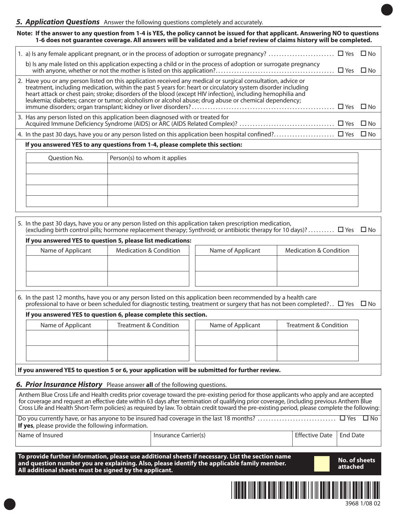# *5. Application Questions* Answer the following questions completely and accurately.

Note: If the answer to any question from 1-4 is YES, the policy cannot be issued for that applicant. Answering NO to questions 1-6 does not guarantee coverage. All answers will be validated and a brief review of claims history will be completed.

| b) Is any male listed on this application expecting a child or in the process of adoption or surrogate pregnancy                                                                                                                                                                                                                                                                                                                                     |  |
|------------------------------------------------------------------------------------------------------------------------------------------------------------------------------------------------------------------------------------------------------------------------------------------------------------------------------------------------------------------------------------------------------------------------------------------------------|--|
| 2. Have you or any person listed on this application received any medical or surgical consultation, advice or<br>treatment, including medication, within the past 5 years for: heart or circulatory system disorder including<br>heart attack or chest pain; stroke; disorders of the blood (except HIV infection), including hemophilia and<br>leukemia; diabetes; cancer or tumor; alcoholism or alcohol abuse; drug abuse or chemical dependency; |  |
| 3. Has any person listed on this application been diagnosed with or treated for                                                                                                                                                                                                                                                                                                                                                                      |  |
|                                                                                                                                                                                                                                                                                                                                                                                                                                                      |  |
| If you answered YES to any questions from 1-4, please complete this section:                                                                                                                                                                                                                                                                                                                                                                         |  |

| $\vert$ Person(s) to whom it applies |
|--------------------------------------|
|                                      |
|                                      |
|                                      |
|                                      |
|                                      |

|                                                                                                                                                                                                                                                        | 5. In the past 30 days, have you or any person listed on this application taken prescription medication,<br>(excluding birth control pills; hormone replacement therapy; Synthroid; or antibiotic therapy for 10 days)? $\Box$ Yes $\Box$ No |                   |                                   |  |  |  |  |
|--------------------------------------------------------------------------------------------------------------------------------------------------------------------------------------------------------------------------------------------------------|----------------------------------------------------------------------------------------------------------------------------------------------------------------------------------------------------------------------------------------------|-------------------|-----------------------------------|--|--|--|--|
|                                                                                                                                                                                                                                                        | If you answered YES to question 5, please list medications:                                                                                                                                                                                  |                   |                                   |  |  |  |  |
| Name of Applicant                                                                                                                                                                                                                                      | <b>Medication &amp; Condition</b>                                                                                                                                                                                                            | Name of Applicant | <b>Medication &amp; Condition</b> |  |  |  |  |
|                                                                                                                                                                                                                                                        |                                                                                                                                                                                                                                              |                   |                                   |  |  |  |  |
|                                                                                                                                                                                                                                                        |                                                                                                                                                                                                                                              |                   |                                   |  |  |  |  |
|                                                                                                                                                                                                                                                        |                                                                                                                                                                                                                                              |                   |                                   |  |  |  |  |
|                                                                                                                                                                                                                                                        |                                                                                                                                                                                                                                              |                   |                                   |  |  |  |  |
| 6. In the past 12 months, have you or any person listed on this application been recommended by a health care<br>professional to have or been scheduled for diagnostic testing, treatment or surgery that has not been completed? $\Box$ Yes $\Box$ No |                                                                                                                                                                                                                                              |                   |                                   |  |  |  |  |
|                                                                                                                                                                                                                                                        | If you answered YES to question 6, please complete this section.                                                                                                                                                                             |                   |                                   |  |  |  |  |
|                                                                                                                                                                                                                                                        |                                                                                                                                                                                                                                              |                   |                                   |  |  |  |  |

| Name of Applicant | Treatment & Condition | Name of Applicant | Treatment & Condition |
|-------------------|-----------------------|-------------------|-----------------------|
|                   |                       |                   |                       |
|                   |                       |                   |                       |
|                   |                       |                   |                       |

**If you answered YES to question 5 or 6, your application will be submitted for further review.**

### *6. Prior Insurance History* Please answer **all** of the following questions.

| Anthem Blue Cross Life and Health credits prior coverage toward the pre-existing period for those applicants who apply and are accepted<br>for coverage and request an effective date within 63 days after termination of qualifying prior coverage, (including previous Anthem Blue<br>Cross Life and Health Short-Term policies) as required by law. To obtain credit toward the pre-existing period, please complete the following:<br>$\square$ No<br><b>If yes</b> , please provide the following information. |                                                                                                |                       |                 |  |  |  |
|---------------------------------------------------------------------------------------------------------------------------------------------------------------------------------------------------------------------------------------------------------------------------------------------------------------------------------------------------------------------------------------------------------------------------------------------------------------------------------------------------------------------|------------------------------------------------------------------------------------------------|-----------------------|-----------------|--|--|--|
| Name of Insured                                                                                                                                                                                                                                                                                                                                                                                                                                                                                                     | Insurance Carrier(s)                                                                           | <b>Effective Date</b> | <b>Fnd Date</b> |  |  |  |
| To provide further information, please use additional sheets if necessary. List the section name<br><b>No. of sheets</b><br>and question number you are explaining. Also, please identify the applicable family member.<br>attached<br>All additional sheets must be signed by the applicant.                                                                                                                                                                                                                       |                                                                                                |                       |                 |  |  |  |
|                                                                                                                                                                                                                                                                                                                                                                                                                                                                                                                     | <u> 111   111   111   111   111   111   111   111   111   111   111   111   111   111   11</u> |                       |                 |  |  |  |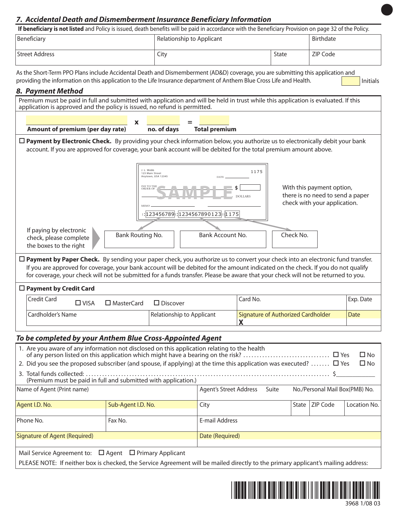### *7. Accidental Death and Dismemberment Insurance Beneficiary Information*

| <b>If beneficiary is not listed</b> and Policy is issued, death benefits will be paid in accordance with the Beneficiary Provision on page 32 of the Policy. |                           |       |                  |  |  |
|--------------------------------------------------------------------------------------------------------------------------------------------------------------|---------------------------|-------|------------------|--|--|
| Beneficiary                                                                                                                                                  | Relationship to Applicant |       | <b>Birthdate</b> |  |  |
| Street Address                                                                                                                                               | City                      | State | ZIP Code         |  |  |

As the Short-Term PPO Plans include Accidental Death and Dismemberment (AD&D) coverage, you are submitting this application and providing the information on this application to the Life Insurance department of Anthem Blue Cross Life and Health.

### *8. Payment Method*

| о. <i>г</i> иутет меспои                                                                                                                                                                                                                                                                                                                                                                                      |                           |                                                                               |                       |                                         |                                |                                                               |           |
|---------------------------------------------------------------------------------------------------------------------------------------------------------------------------------------------------------------------------------------------------------------------------------------------------------------------------------------------------------------------------------------------------------------|---------------------------|-------------------------------------------------------------------------------|-----------------------|-----------------------------------------|--------------------------------|---------------------------------------------------------------|-----------|
| Premium must be paid in full and submitted with application and will be held in trust while this application is evaluated. If this<br>application is approved and the policy is issued, no refund is permitted.                                                                                                                                                                                               |                           |                                                                               |                       |                                         |                                |                                                               |           |
|                                                                                                                                                                                                                                                                                                                                                                                                               |                           |                                                                               |                       |                                         |                                |                                                               |           |
|                                                                                                                                                                                                                                                                                                                                                                                                               | X                         |                                                                               |                       |                                         |                                |                                                               |           |
| Amount of premium (per day rate)                                                                                                                                                                                                                                                                                                                                                                              |                           | no. of days                                                                   | <b>Total premium</b>  |                                         |                                |                                                               |           |
| $\Box$ Payment by Electronic Check. By providing your check information below, you authorize us to electronically debit your bank<br>account. If you are approved for coverage, your bank account will be debited for the total premium amount above.                                                                                                                                                         |                           |                                                                               |                       |                                         |                                |                                                               |           |
|                                                                                                                                                                                                                                                                                                                                                                                                               |                           | J. L. Webb<br>123 Main Street<br>Anytown, USA 12345<br>PAY TO THE<br>ORDER OI | Ś                     | 1175<br><b>DOLLARS</b>                  |                                | With this payment option,<br>there is no need to send a paper |           |
| check with your application.<br>: 123456789: 1234567890123 1175                                                                                                                                                                                                                                                                                                                                               |                           |                                                                               |                       |                                         |                                |                                                               |           |
| If paying by electronic<br>Bank Routing No.<br>Bank Account No.<br>Check No.<br>check, please complete<br>the boxes to the right                                                                                                                                                                                                                                                                              |                           |                                                                               |                       |                                         |                                |                                                               |           |
| $\Box$ Payment by Paper Check. By sending your paper check, you authorize us to convert your check into an electronic fund transfer.<br>If you are approved for coverage, your bank account will be debited for the amount indicated on the check. If you do not qualify<br>for coverage, your check will not be submitted for a funds transfer. Please be aware that your check will not be returned to you. |                           |                                                                               |                       |                                         |                                |                                                               |           |
| $\Box$ Payment by Credit Card                                                                                                                                                                                                                                                                                                                                                                                 |                           |                                                                               |                       |                                         |                                |                                                               |           |
| Credit Card<br>$\square$ VISA                                                                                                                                                                                                                                                                                                                                                                                 | $\Box$ MasterCard         | $\square$ Discover                                                            |                       | Card No.                                |                                |                                                               | Exp. Date |
| Cardholder's Name                                                                                                                                                                                                                                                                                                                                                                                             | Relationship to Applicant |                                                                               |                       | Signature of Authorized Cardholder<br>X |                                | Date                                                          |           |
| To be completed by your Anthem Blue Cross-Appointed Agent                                                                                                                                                                                                                                                                                                                                                     |                           |                                                                               |                       |                                         |                                |                                                               |           |
| 1. Are you aware of any information not disclosed on this application relating to the health<br>$\square$ No<br>2. Did you see the proposed subscriber (and spouse, if applying) at the time this application was executed? $\Box$ Yes<br>$\square$ No                                                                                                                                                        |                           |                                                                               |                       |                                         |                                |                                                               |           |
| 3. Total funds collected:<br>(Premium must be paid in full and submitted with application.)                                                                                                                                                                                                                                                                                                                   |                           |                                                                               |                       |                                         |                                |                                                               |           |
| <b>Agent's Street Address</b><br>Name of Agent (Print name)                                                                                                                                                                                                                                                                                                                                                   |                           |                                                                               | Suite                 |                                         | No./Personal Mail Box(PMB) No. |                                                               |           |
| Agent I.D. No.<br>Sub-Agent I.D. No.                                                                                                                                                                                                                                                                                                                                                                          |                           | City                                                                          |                       | State                                   | ZIP Code                       | Location No.                                                  |           |
| Phone No.                                                                                                                                                                                                                                                                                                                                                                                                     | Fax No.                   |                                                                               | <b>E-mail Address</b> |                                         |                                |                                                               |           |

Mail Service Agreement to: □ Agent □ Primary Applicant

Signature of Agent (Required) and Date (Required) and Date (Required)

PLEASE NOTE: If neither box is checked, the Service Agreement will be mailed directly to the primary applicant's mailing address:

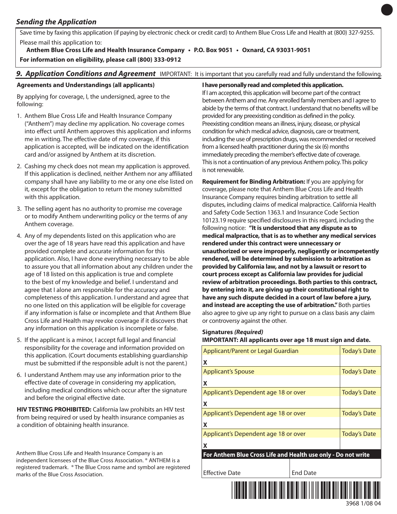### *Sending the Application*

Save time by faxing this application (if paying by electronic check or credit card) to Anthem Blue Cross Life and Health at (800) 327-9255. Please mail this application to:

**Anthem Blue Cross Life and Health Insurance Company • P.O. Box 9051 • Oxnard, CA 93031-9051 For information on eligibility, please call (800) 333-0912**

### *9. Application Conditions and Agreement* IMPORTANT: It is important that you carefully read and fully understand the following.

### **Agreements and Understandings (all applicants)**

By applying for coverage, I, the undersigned, agree to the following:

- 1. Anthem Blue Cross Life and Health Insurance Company ("Anthem") may decline my application. No coverage comes into effect until Anthem approves this application and informs me in writing. The effective date of my coverage, if this application is accepted, will be indicated on the identification card and/or assigned by Anthem at its discretion.
- 2. Cashing my check does not mean my application is approved. If this application is declined, neither Anthem nor any affiliated company shall have any liability to me or any one else listed on it, except for the obligation to return the money submitted with this application.
- 3. The selling agent has no authority to promise me coverage or to modify Anthem underwriting policy or the terms of any Anthem coverage.
- 4. Any of my dependents listed on this application who are over the age of 18 years have read this application and have provided complete and accurate information for this application. Also, I have done everything necessary to be able to assure you that all information about any children under the age of 18 listed on this application is true and complete to the best of my knowledge and belief. I understand and agree that I alone am responsible for the accuracy and completeness of this application. I understand and agree that no one listed on this application will be eligible for coverage if any information is false or incomplete and that Anthem Blue Cross Life and Health may revoke coverage if it discovers that any information on this application is incomplete or false.
- 5. If the applicant is a minor, I accept full legal and financial responsibility for the coverage and information provided on this application. (Court documents establishing guardianship must be submitted if the responsible adult is not the parent.)
- 6. I understand Anthem may use any information prior to the effective date of coverage in considering my application, including medical conditions which occur after the signature and before the original effective date.

**HIV TESTING PROHIBITED:** California law prohibits an HIV test from being required or used by health insurance companies as a condition of obtaining health insurance.

Anthem Blue Cross Life and Health Insurance Company is an independent licensees of the Blue Cross Association. ® ANTHEM is a registered trademark. ® The Blue Cross name and symbol are registered marks of the Blue Cross Association.

### **I have personally read and completed this application.**

If I am accepted, this application will become part of the contract between Anthem and me. Any enrolled family members and I agree to abide by the terms of that contract. I understand that no benefits will be provided for any preexisting condition as defined in the policy. Preexisting condition means an illness, injury, disease, or physical condition for which medical advice, diagnosis, care or treatment, including the use of prescription drugs, was recommended or received from a licensed health practitioner during the six (6) months immediately preceding the member's effective date of coverage. This is not a continuation of any previous Anthem policy. This policy is not renewable.

**Requirement for Binding Arbitration:** If you are applying for coverage, please note that Anthem Blue Cross Life and Health Insurance Company requires binding arbitration to settle all disputes, including claims of medical malpractice. California Health and Safety Code Section 1363.1 and Insurance Code Section 10123.19 require specified disclosures in this regard, including the following notice: **"It is understood that any dispute as to medical malpractice, that is as to whether any medical services rendered underthis contract were unnecessary or unauthorized or were improperly, negligently orincompetently rendered, will be determined by submission to arbitration as provided by California law, and not by a lawsuit orresort to court process except as California law provides forjudicial review of arbitration proceedings. Both parties to this contract, by entering into it, are giving up their constitutionalright to have any such dispute decided in a court of law before a jury, and instead are accepting the use of arbitration."**Both parties also agree to give up any right to pursue on a class basis any claim or controversy against the other.

### **Signatures** *(Required)*

### **IMPORTANT: All applicants over age 18 must sign and date.**

| Applicant/Parent or Legal Guardian                            | <b>Today's Date</b> |  |  |  |
|---------------------------------------------------------------|---------------------|--|--|--|
| X                                                             |                     |  |  |  |
| <b>Applicant's Spouse</b>                                     | <b>Today's Date</b> |  |  |  |
| X                                                             |                     |  |  |  |
| Applicant's Dependent age 18 or over                          | <b>Today's Date</b> |  |  |  |
| X                                                             |                     |  |  |  |
| Applicant's Dependent age 18 or over                          | <b>Today's Date</b> |  |  |  |
| X                                                             |                     |  |  |  |
| Applicant's Dependent age 18 or over                          | <b>Today's Date</b> |  |  |  |
| X                                                             |                     |  |  |  |
| For Anthem Blue Cross Life and Health use only - Do not write |                     |  |  |  |
|                                                               |                     |  |  |  |
| <b>Effective Date</b>                                         | <b>End Date</b>     |  |  |  |
|                                                               |                     |  |  |  |

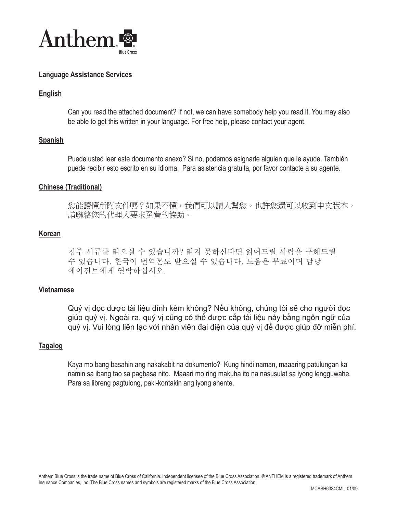

### **Language Assistance Services**

### **English**

Can you read the attached document? If not, we can have somebody help you read it. You may also be able to get this written in your language. For free help, please contact your agent.

### **Spanish**

Puede usted leer este documento anexo? Si no, podemos asignarle alguien que le ayude. También puede recibir esto escrito en su idioma. Para asistencia gratuita, por favor contacte a su agente.

### **Chinese (Traditional)**

您能讀懂所附文件嗎?如果不懂,我們可以請人幫您。也許您還可以收到中文版本。 請聯絡您的代理人要求免費的協助。

### **Korean**

첨부 서류를 읽으실 수 있습니까? 읽지 못하신다면 읽어드릴 사람을 구해드릴 수 있습니다. 한국어 번역본도 받으실 수 있습니다. 도움은 무료이며 담당 에이전트에게 연락하십시오.

### **Vietnamese**

Quý vị đọc được tài liệu đính kèm không? Nếu không, chúng tôi sẽ cho người đọc giúp quý vị. Ngoài ra, quý vị cũng có thể được cấp tài liệu này bằng ngôn ngữ của quý vị. Vui lòng liên lạc với nhân viên đại diện của quý vị để được giúp đỡ miễn phí.

### **Tagalog**

Kaya mo bang basahin ang nakakabit na dokumento? Kung hindi naman, maaaring patulungan ka namin sa ibang tao sa pagbasa nito. Maaari mo ring makuha ito na nasusulat sa iyong lengguwahe. Para sa libreng pagtulong, paki-kontakin ang iyong ahente.